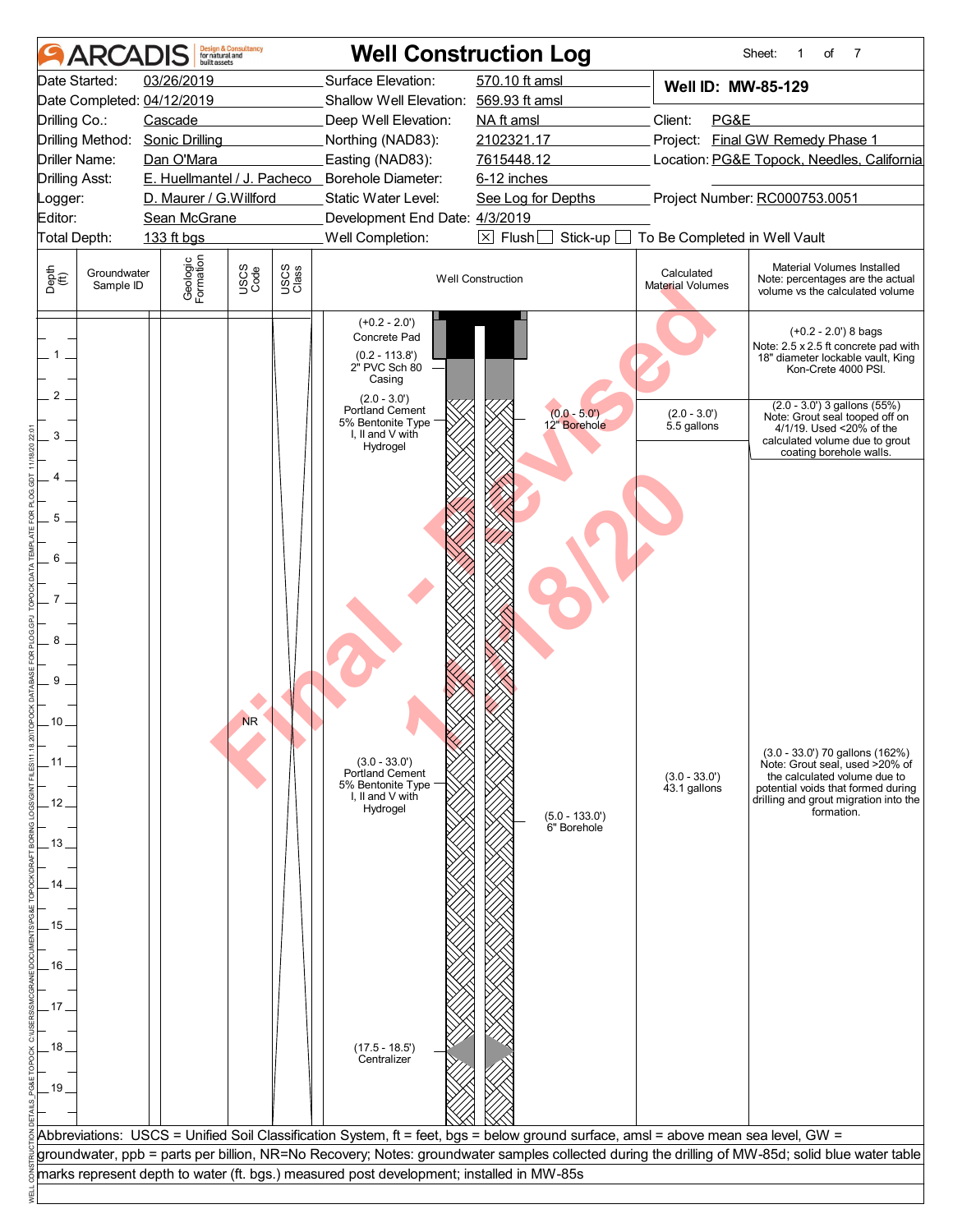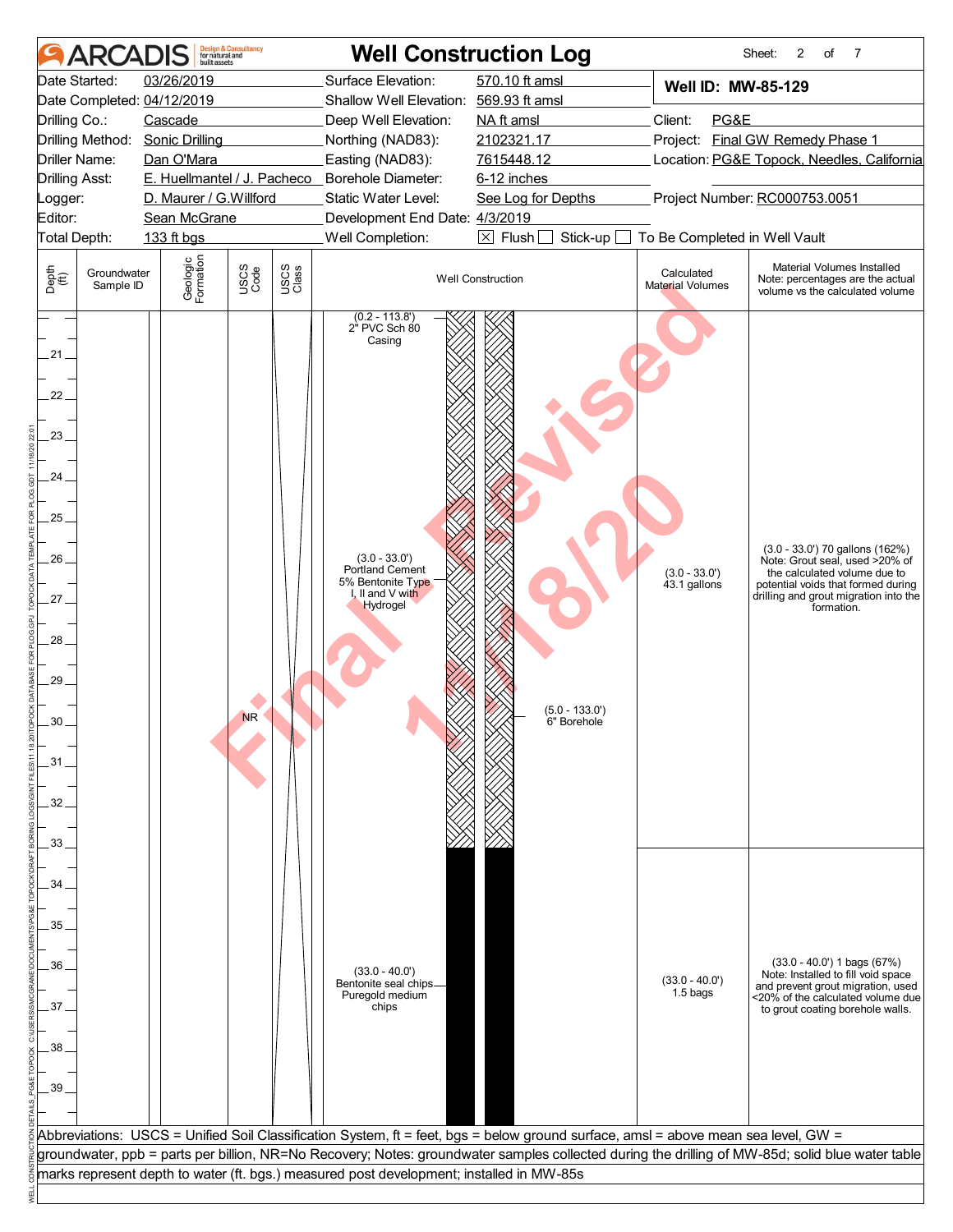| Surface Elevation:<br>570.10 ft amsl<br>Date Started:<br>03/26/2019<br>Well ID: MW-85-129<br>Date Completed: 04/12/2019<br>Shallow Well Elevation: 569.93 ft amsl<br>PG&E<br>Cascade<br>Client:<br>Drilling Co.:<br>Deep Well Elevation:<br>NA ft amsl<br>Project: Final GW Remedy Phase 1<br>2102321.17<br>Drilling Method: Sonic Drilling<br>Northing (NAD83):<br>Easting (NAD83):<br>7615448.12<br>Location: PG&E Topock, Needles, California<br>Driller Name:<br>Dan O'Mara<br>E. Huellmantel / J. Pacheco _ Borehole Diameter:<br><b>Drilling Asst:</b><br>6-12 inches<br>Project Number: RC000753.0051<br>D. Maurer / G.Willford<br>Static Water Level:<br>See Log for Depths<br>Logger:<br>Editor:<br>Sean McGrane<br>Development End Date: 4/3/2019<br>Well Completion:<br>$\boxtimes$ Flush<br>Stick-up<br>Total Depth:<br>133 ft bgs<br>To Be Completed in Well Vault<br>Geologic<br>Formation<br>Material Volumes Installed<br>USCS<br>Code<br>USCS<br>Class<br>Depth<br>(ff)<br>Calculated<br>Groundwater<br><b>Well Construction</b><br>Note: percentages are the actual<br>Material Volumes<br>Sample ID<br>volume vs the calculated volume<br>$(0.2 - 113.8')$<br>2" PVC Sch 80<br>Casing<br>.21.<br>22.<br>$23 -$<br>24.<br>25<br>$(3.0 - 33.0')$ 70 gallons $(162%)$<br>26<br>$(3.0 - 33.0')$<br>Note: Grout seal, used >20% of<br>Portland Cement<br>$(3.0 - 33.0')$<br>the calculated volume due to<br>5% Bentonite Type<br>$43.1$ gallons<br>I, II and V with<br>27.<br>Hydrogel<br>formation.<br>28.<br>29.<br>$(5.0 - 133.0')$<br><b>NR</b><br>30<br>6" Borehole<br>31<br>32<br>33<br>34<br>35<br>$(33.0 - 40.0')$ 1 bags $(67%)$<br>36<br>$(33.0 - 40.0')$<br>Note: Installed to fill void space<br>$(33.0 - 40.0')$<br>Bentonite seal chips<br>1.5 bags<br>Puregold medium<br>37.<br>chips<br>to grout coating borehole walls.<br>38<br>39<br>Abbreviations: USCS = Unified Soil Classification System, ft = feet, bgs = below ground surface, amsl = above mean sea level, GW =<br>groundwater, ppb = parts per billion, NR=No Recovery; Notes: groundwater samples collected during the drilling of MW-85d; solid blue water table | <b>ARC</b> | built assets | <b>Design &amp; Consultancy</b><br>for natural and | <b>Well Construction Log</b> |  | 2<br>Sheet:<br>of<br>7                                                      |  |
|--------------------------------------------------------------------------------------------------------------------------------------------------------------------------------------------------------------------------------------------------------------------------------------------------------------------------------------------------------------------------------------------------------------------------------------------------------------------------------------------------------------------------------------------------------------------------------------------------------------------------------------------------------------------------------------------------------------------------------------------------------------------------------------------------------------------------------------------------------------------------------------------------------------------------------------------------------------------------------------------------------------------------------------------------------------------------------------------------------------------------------------------------------------------------------------------------------------------------------------------------------------------------------------------------------------------------------------------------------------------------------------------------------------------------------------------------------------------------------------------------------------------------------------------------------------------------------------------------------------------------------------------------------------------------------------------------------------------------------------------------------------------------------------------------------------------------------------------------------------------------------------------------------------------------------------------------------------------------------------------------------------------------------------------------------------------------------------------------------------------------------------------------------------|------------|--------------|----------------------------------------------------|------------------------------|--|-----------------------------------------------------------------------------|--|
|                                                                                                                                                                                                                                                                                                                                                                                                                                                                                                                                                                                                                                                                                                                                                                                                                                                                                                                                                                                                                                                                                                                                                                                                                                                                                                                                                                                                                                                                                                                                                                                                                                                                                                                                                                                                                                                                                                                                                                                                                                                                                                                                                              |            |              |                                                    |                              |  |                                                                             |  |
|                                                                                                                                                                                                                                                                                                                                                                                                                                                                                                                                                                                                                                                                                                                                                                                                                                                                                                                                                                                                                                                                                                                                                                                                                                                                                                                                                                                                                                                                                                                                                                                                                                                                                                                                                                                                                                                                                                                                                                                                                                                                                                                                                              |            |              |                                                    |                              |  |                                                                             |  |
|                                                                                                                                                                                                                                                                                                                                                                                                                                                                                                                                                                                                                                                                                                                                                                                                                                                                                                                                                                                                                                                                                                                                                                                                                                                                                                                                                                                                                                                                                                                                                                                                                                                                                                                                                                                                                                                                                                                                                                                                                                                                                                                                                              |            |              |                                                    |                              |  |                                                                             |  |
|                                                                                                                                                                                                                                                                                                                                                                                                                                                                                                                                                                                                                                                                                                                                                                                                                                                                                                                                                                                                                                                                                                                                                                                                                                                                                                                                                                                                                                                                                                                                                                                                                                                                                                                                                                                                                                                                                                                                                                                                                                                                                                                                                              |            |              |                                                    |                              |  |                                                                             |  |
|                                                                                                                                                                                                                                                                                                                                                                                                                                                                                                                                                                                                                                                                                                                                                                                                                                                                                                                                                                                                                                                                                                                                                                                                                                                                                                                                                                                                                                                                                                                                                                                                                                                                                                                                                                                                                                                                                                                                                                                                                                                                                                                                                              |            |              |                                                    |                              |  |                                                                             |  |
|                                                                                                                                                                                                                                                                                                                                                                                                                                                                                                                                                                                                                                                                                                                                                                                                                                                                                                                                                                                                                                                                                                                                                                                                                                                                                                                                                                                                                                                                                                                                                                                                                                                                                                                                                                                                                                                                                                                                                                                                                                                                                                                                                              |            |              |                                                    |                              |  |                                                                             |  |
|                                                                                                                                                                                                                                                                                                                                                                                                                                                                                                                                                                                                                                                                                                                                                                                                                                                                                                                                                                                                                                                                                                                                                                                                                                                                                                                                                                                                                                                                                                                                                                                                                                                                                                                                                                                                                                                                                                                                                                                                                                                                                                                                                              |            |              |                                                    |                              |  |                                                                             |  |
|                                                                                                                                                                                                                                                                                                                                                                                                                                                                                                                                                                                                                                                                                                                                                                                                                                                                                                                                                                                                                                                                                                                                                                                                                                                                                                                                                                                                                                                                                                                                                                                                                                                                                                                                                                                                                                                                                                                                                                                                                                                                                                                                                              |            |              |                                                    |                              |  |                                                                             |  |
|                                                                                                                                                                                                                                                                                                                                                                                                                                                                                                                                                                                                                                                                                                                                                                                                                                                                                                                                                                                                                                                                                                                                                                                                                                                                                                                                                                                                                                                                                                                                                                                                                                                                                                                                                                                                                                                                                                                                                                                                                                                                                                                                                              |            |              |                                                    |                              |  |                                                                             |  |
|                                                                                                                                                                                                                                                                                                                                                                                                                                                                                                                                                                                                                                                                                                                                                                                                                                                                                                                                                                                                                                                                                                                                                                                                                                                                                                                                                                                                                                                                                                                                                                                                                                                                                                                                                                                                                                                                                                                                                                                                                                                                                                                                                              |            |              |                                                    |                              |  |                                                                             |  |
|                                                                                                                                                                                                                                                                                                                                                                                                                                                                                                                                                                                                                                                                                                                                                                                                                                                                                                                                                                                                                                                                                                                                                                                                                                                                                                                                                                                                                                                                                                                                                                                                                                                                                                                                                                                                                                                                                                                                                                                                                                                                                                                                                              |            |              |                                                    |                              |  | potential voids that formed during<br>drilling and grout migration into the |  |
|                                                                                                                                                                                                                                                                                                                                                                                                                                                                                                                                                                                                                                                                                                                                                                                                                                                                                                                                                                                                                                                                                                                                                                                                                                                                                                                                                                                                                                                                                                                                                                                                                                                                                                                                                                                                                                                                                                                                                                                                                                                                                                                                                              |            |              |                                                    |                              |  | and prevent grout migration, used<br><20% of the calculated volume due      |  |
|                                                                                                                                                                                                                                                                                                                                                                                                                                                                                                                                                                                                                                                                                                                                                                                                                                                                                                                                                                                                                                                                                                                                                                                                                                                                                                                                                                                                                                                                                                                                                                                                                                                                                                                                                                                                                                                                                                                                                                                                                                                                                                                                                              |            |              |                                                    |                              |  |                                                                             |  |
|                                                                                                                                                                                                                                                                                                                                                                                                                                                                                                                                                                                                                                                                                                                                                                                                                                                                                                                                                                                                                                                                                                                                                                                                                                                                                                                                                                                                                                                                                                                                                                                                                                                                                                                                                                                                                                                                                                                                                                                                                                                                                                                                                              |            |              |                                                    |                              |  |                                                                             |  |
| marks represent depth to water (ft. bgs.) measured post development; installed in MW-85s                                                                                                                                                                                                                                                                                                                                                                                                                                                                                                                                                                                                                                                                                                                                                                                                                                                                                                                                                                                                                                                                                                                                                                                                                                                                                                                                                                                                                                                                                                                                                                                                                                                                                                                                                                                                                                                                                                                                                                                                                                                                     |            |              |                                                    |                              |  |                                                                             |  |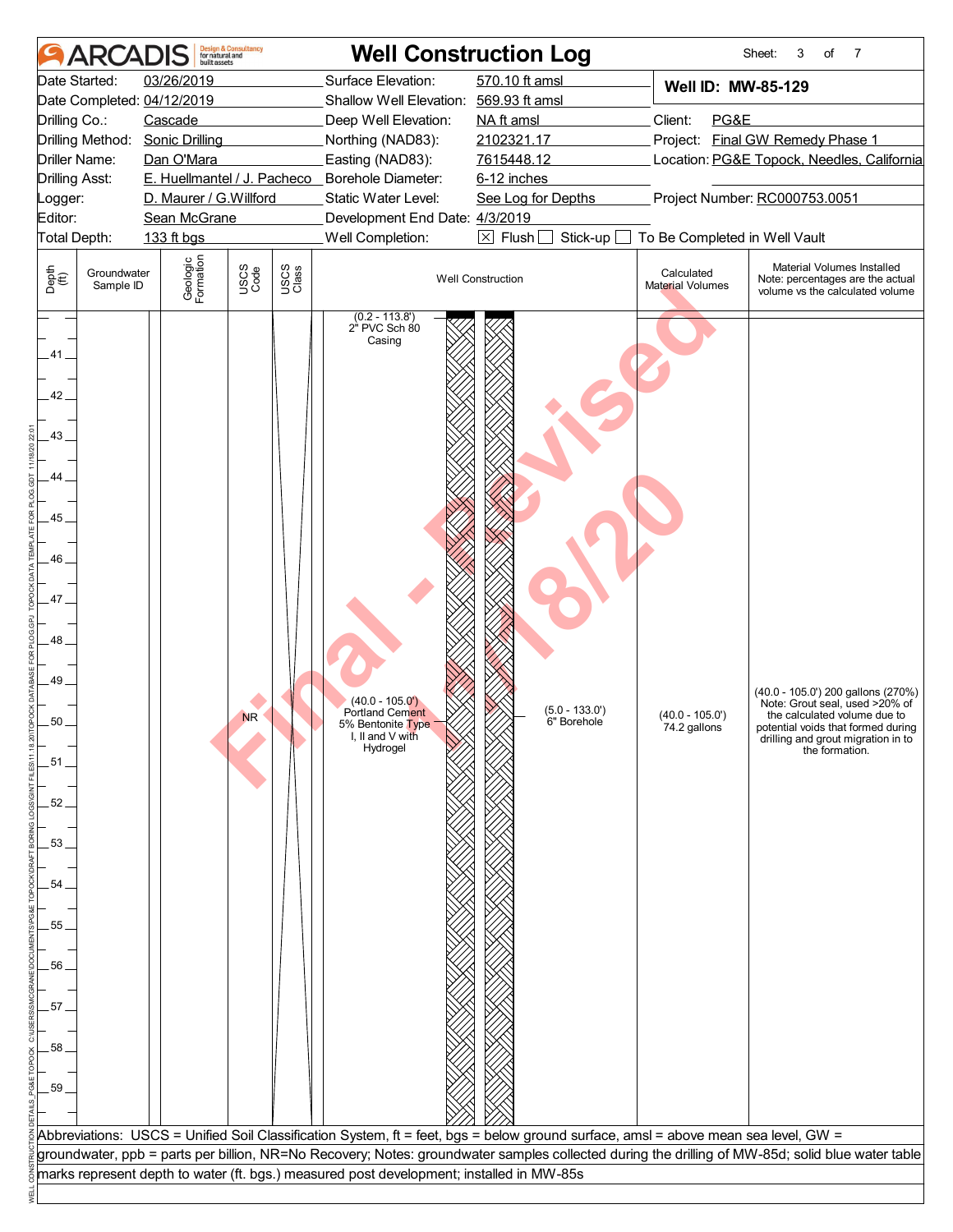| Surface Elevation:<br>570.10 ft amsl<br>03/26/2019<br>Date Started:<br>Well ID: MW-85-129<br>Date Completed: 04/12/2019<br>Shallow Well Elevation: 569.93 ft amsl<br>NA ft amsl<br>Client:<br>PG&E<br>Drilling Co.:<br>Cascade<br>Deep Well Elevation:<br>Project: Final GW Remedy Phase 1<br>Drilling Method: Sonic Drilling<br>2102321.17<br>Northing (NAD83):<br>7615448.12<br>Location: PG&E Topock, Needles, California<br>Driller Name:<br>Dan O'Mara<br>Easting (NAD83):<br>E. Huellmantel / J. Pacheco _ Borehole Diameter:<br><b>Drilling Asst:</b><br>6-12 inches<br>Project Number: RC000753.0051<br>D. Maurer / G.Willford<br>Static Water Level:<br>See Log for Depths<br>Logger:<br>Editor:<br>Development End Date: 4/3/2019<br>Sean McGrane<br>Total Depth:<br>Well Completion:<br>$\boxtimes$ Flush<br>Stick-up<br>To Be Completed in Well Vault<br>133 ft bgs<br>Geologic<br>Formation<br>Material Volumes Installed<br>USCS<br>Code<br>USCS<br>Class<br>Depth<br>$\bigoplus_{i=1}^{n}$<br>Groundwater<br>Calculated<br><b>Well Construction</b><br><b>Material Volumes</b><br>Sample ID<br>(0.2 - 113.8')<br>2" PVC Sch 80<br>Casing<br>41.<br>42.<br>43<br>44.<br>45<br>46<br>47.<br>48<br>49<br>$(40.0 - 105.0')$<br>$(5.0 - 133.0')$<br>Portland Cement<br>$(40.0 - 105.0')$<br><b>NR</b><br>50<br>6" Borehole<br>5% Bentonite Type<br>74.2 gallons<br>I, II and V with<br>Hydrogel<br>the formation.<br>.51 <sub>1</sub><br>52.<br>53<br>54<br>55<br>56<br>57<br>58<br>59<br>Abbreviations: USCS = Unified Soil Classification System, ft = feet, bgs = below ground surface, amsl = above mean sea level, GW =<br>groundwater, ppb = parts per billion, NR=No Recovery; Notes: groundwater samples collected during the drilling of MW-85d; solid blue water table | ARCAD | <b>Design &amp; Consultancy</b><br>for natural and<br>built assets | <b>Well Construction Log</b> |  | 7<br>Sheet:<br>3<br>of                                                                                                                                                                                                                                  |
|--------------------------------------------------------------------------------------------------------------------------------------------------------------------------------------------------------------------------------------------------------------------------------------------------------------------------------------------------------------------------------------------------------------------------------------------------------------------------------------------------------------------------------------------------------------------------------------------------------------------------------------------------------------------------------------------------------------------------------------------------------------------------------------------------------------------------------------------------------------------------------------------------------------------------------------------------------------------------------------------------------------------------------------------------------------------------------------------------------------------------------------------------------------------------------------------------------------------------------------------------------------------------------------------------------------------------------------------------------------------------------------------------------------------------------------------------------------------------------------------------------------------------------------------------------------------------------------------------------------------------------------------------------------------------------------------------------------------------------------------------------------------------------------------|-------|--------------------------------------------------------------------|------------------------------|--|---------------------------------------------------------------------------------------------------------------------------------------------------------------------------------------------------------------------------------------------------------|
|                                                                                                                                                                                                                                                                                                                                                                                                                                                                                                                                                                                                                                                                                                                                                                                                                                                                                                                                                                                                                                                                                                                                                                                                                                                                                                                                                                                                                                                                                                                                                                                                                                                                                                                                                                                            |       |                                                                    |                              |  |                                                                                                                                                                                                                                                         |
|                                                                                                                                                                                                                                                                                                                                                                                                                                                                                                                                                                                                                                                                                                                                                                                                                                                                                                                                                                                                                                                                                                                                                                                                                                                                                                                                                                                                                                                                                                                                                                                                                                                                                                                                                                                            |       |                                                                    |                              |  | Note: percentages are the actual<br>volume vs the calculated volume<br>(40.0 - 105.0') 200 gallons (270%)<br>Note: Grout seal, used >20% of<br>the calculated volume due to<br>potential voids that formed during<br>drilling and grout migration in to |
| marks represent depth to water (ft. bgs.) measured post development; installed in MW-85s                                                                                                                                                                                                                                                                                                                                                                                                                                                                                                                                                                                                                                                                                                                                                                                                                                                                                                                                                                                                                                                                                                                                                                                                                                                                                                                                                                                                                                                                                                                                                                                                                                                                                                   |       |                                                                    |                              |  |                                                                                                                                                                                                                                                         |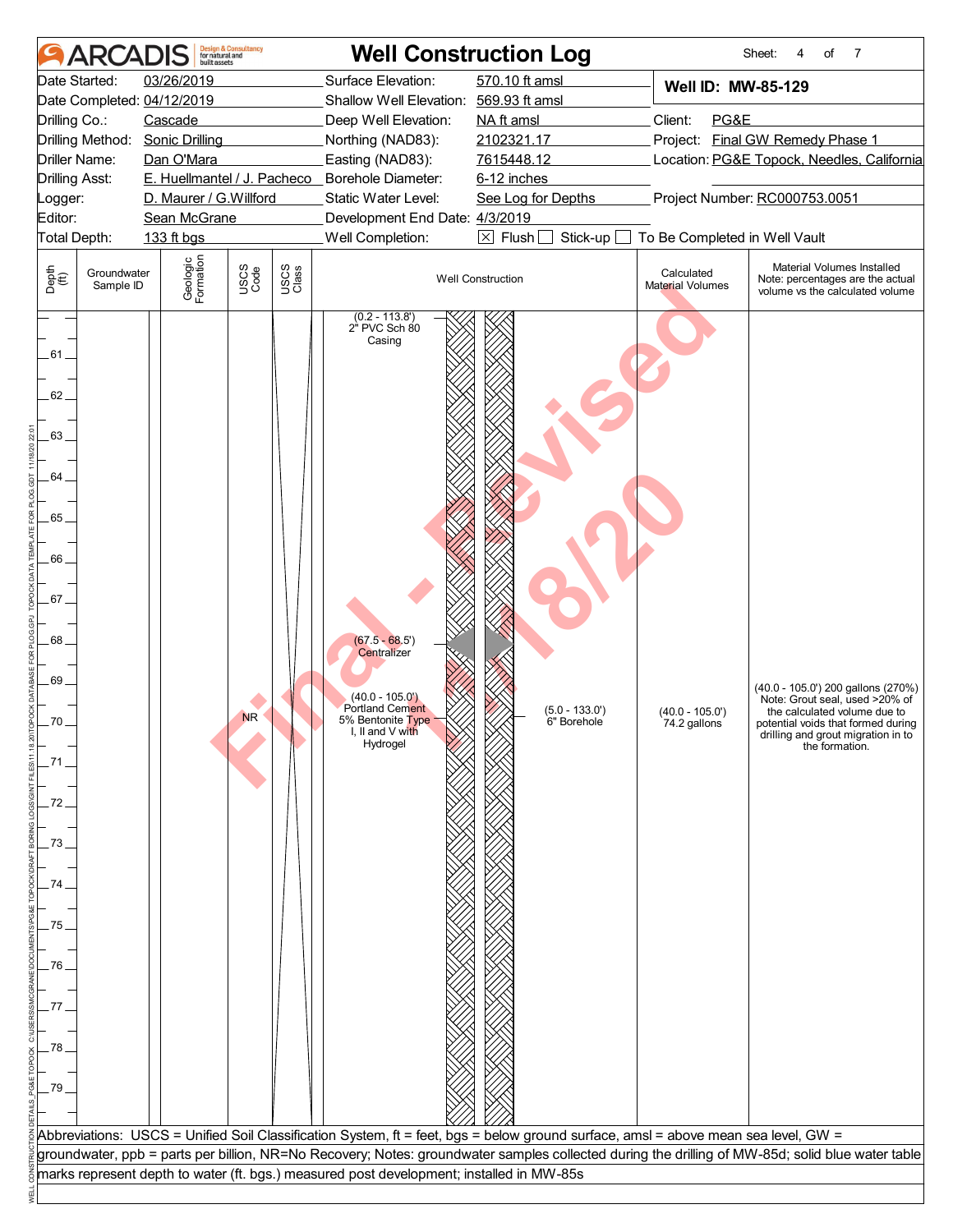| Surface Elevation:<br>570.10 ft amsl<br>03/26/2019<br>Date Started:<br>Well ID: MW-85-129<br>Date Completed: 04/12/2019<br>Shallow Well Elevation: 569.93 ft amsl<br>NA ft amsl<br>Client:<br>PG&E<br>Drilling Co.:<br>Cascade<br>Deep Well Elevation:<br>Project: Final GW Remedy Phase 1<br>Drilling Method: Sonic Drilling<br>2102321.17<br>Northing (NAD83):<br>7615448.12<br>Location: PG&E Topock, Needles, California<br>Driller Name:<br>Dan O'Mara<br>Easting (NAD83):<br>E. Huellmantel / J. Pacheco _ Borehole Diameter:<br><b>Drilling Asst:</b><br>6-12 inches<br>Project Number: RC000753.0051<br>D. Maurer / G.Willford<br>Static Water Level:<br>See Log for Depths<br>Logger:<br>Editor:<br>Development End Date: 4/3/2019<br>Sean McGrane<br>Well Completion:<br>$\boxtimes$ Flush<br>Stick-up<br>To Be Completed in Well Vault<br>Total Depth:<br>133 ft bgs<br>Geologic<br>Formation<br>Material Volumes Installed<br>USCS<br>Code<br>USCS<br>Class<br>Depth<br>$\bigoplus_{i=1}^{n}$<br>Groundwater<br>Calculated<br><b>Well Construction</b><br>Note: percentages are the actual<br><b>Material Volumes</b><br>Sample ID<br>volume vs the calculated volume<br>(0.2 - 113.8')<br>2" PVC Sch 80<br>Casing<br>.61 .<br>62.<br>63.<br>64.<br>65.<br>66<br>67. |  |
|----------------------------------------------------------------------------------------------------------------------------------------------------------------------------------------------------------------------------------------------------------------------------------------------------------------------------------------------------------------------------------------------------------------------------------------------------------------------------------------------------------------------------------------------------------------------------------------------------------------------------------------------------------------------------------------------------------------------------------------------------------------------------------------------------------------------------------------------------------------------------------------------------------------------------------------------------------------------------------------------------------------------------------------------------------------------------------------------------------------------------------------------------------------------------------------------------------------------------------------------------------------------------------|--|
|                                                                                                                                                                                                                                                                                                                                                                                                                                                                                                                                                                                                                                                                                                                                                                                                                                                                                                                                                                                                                                                                                                                                                                                                                                                                                  |  |
| 68.<br>$(67.5 - 68.5')$<br>Centralizer<br>69.<br>(40.0 - 105.0') 200 gallons (270%)<br>$(40.0 - 105.0)$<br>Note: Grout seal, used >20% of<br>Portland Cement<br>$(5.0 - 133.0')$<br>$(40.0 - 105.0')$<br>the calculated volume due to<br><b>NR</b><br>5% Bentonite Type<br>70<br>6" Borehole<br>74.2 gallons<br>potential voids that formed during<br>I, II and V with<br>drilling and grout migration in to<br>Hydrogel<br>the formation.<br>71<br>72<br>73<br>74<br>75<br>76<br>77<br>78<br>79<br>Abbreviations: USCS = Unified Soil Classification System, ft = feet, bgs = below ground surface, amsl = above mean sea level, GW =                                                                                                                                                                                                                                                                                                                                                                                                                                                                                                                                                                                                                                           |  |
| groundwater, ppb = parts per billion, NR=No Recovery; Notes: groundwater samples collected during the drilling of MW-85d; solid blue water table<br>marks represent depth to water (ft. bgs.) measured post development; installed in MW-85s                                                                                                                                                                                                                                                                                                                                                                                                                                                                                                                                                                                                                                                                                                                                                                                                                                                                                                                                                                                                                                     |  |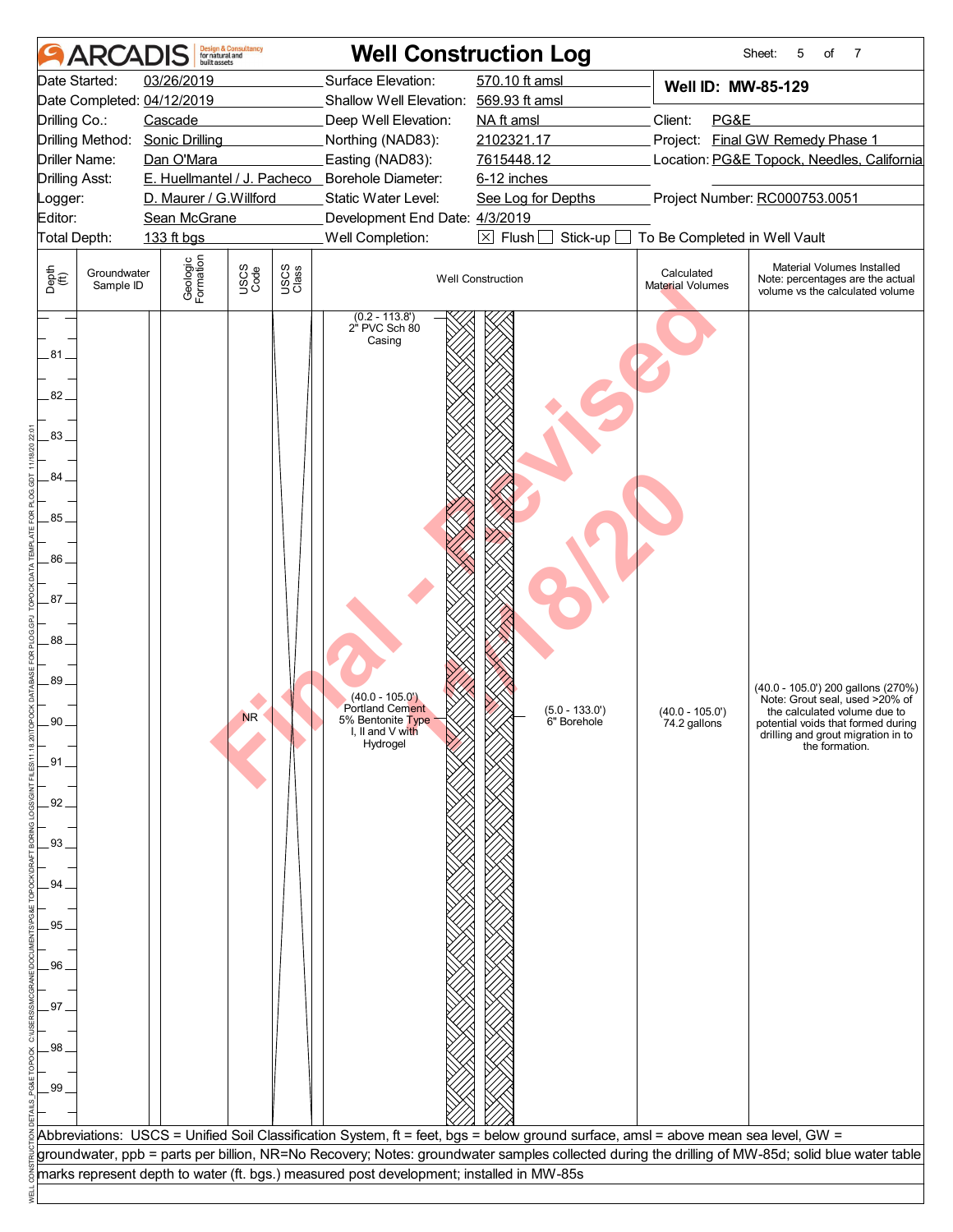| <b>ARCA</b>                                                                                                                                                                                                                            | built assets                                                                                                          | <b>Design &amp; Consultancy</b><br>for natural and |               | <b>Well Construction Log</b>                                                                                                                                                                                                                                   |                                                                                                                                                                           |                                                                                                          | 7<br>Sheet:<br>5<br>of                                                                                                                                                                                                                |
|----------------------------------------------------------------------------------------------------------------------------------------------------------------------------------------------------------------------------------------|-----------------------------------------------------------------------------------------------------------------------|----------------------------------------------------|---------------|----------------------------------------------------------------------------------------------------------------------------------------------------------------------------------------------------------------------------------------------------------------|---------------------------------------------------------------------------------------------------------------------------------------------------------------------------|----------------------------------------------------------------------------------------------------------|---------------------------------------------------------------------------------------------------------------------------------------------------------------------------------------------------------------------------------------|
| Date Started:<br>Date Completed: 04/12/2019<br>Drilling Co.:<br>Drilling Method: Sonic Drilling<br>Driller Name:<br>Drilling Asst:<br>Logger:<br>Editor:<br>Total Depth:<br>Depth<br>$\bigoplus_{i=1}^{n}$<br>Groundwater<br>Sample ID | 03/26/2019<br>Cascade<br>Dan O'Mara<br>D. Maurer / G. Willford<br>Sean McGrane<br>133 ft bgs<br>Geologic<br>Formation | USCS<br>Code                                       | USCS<br>Class | Surface Elevation:<br>Shallow Well Elevation: 569.93 ft amsl<br>Deep Well Elevation:<br>Northing (NAD83):<br>Easting (NAD83):<br>E. Huellmantel / J. Pacheco _ Borehole Diameter:<br>Static Water Level:<br>Development End Date: 4/3/2019<br>Well Completion: | 570.10 ft amsl<br>NA ft amsl<br>2102321.17<br>7615448.12<br>6-12 inches<br>See Log for Depths<br>$\boxed{\times}$ Flush<br>Stick-up $\square$<br><b>Well Construction</b> | Well ID: MW-85-129<br>Client:<br>PG&E<br>To Be Completed in Well Vault<br>Calculated<br>Material Volumes | Project: Final GW Remedy Phase 1<br>Location: PG&E Topock, Needles, California<br>Project Number: RC000753.0051<br>Material Volumes Installed<br>Note: percentages are the actual                                                     |
| .81.<br>82.<br>83.<br>84<br>85.<br>86<br>87.<br>88.<br>89.<br>90<br>.91<br>92.<br>93<br>94<br>95<br>96<br>97<br>98<br>99                                                                                                               |                                                                                                                       | <b>NR</b>                                          |               | (0.2 - 113.8')<br>2" PVC Sch 80<br>Casing<br>$(40.0 - 105.0)$<br><b>Portland Cement</b><br>5% Bentonite Type<br>I, II and V with<br>Hydrogel                                                                                                                   | $(5.0 - 133.0')$<br>6" Borehole<br>Abbreviations: USCS = Unified Soil Classification System, ft = feet, bgs = below ground surface, amsl = above mean sea level, GW =     | $(40.0 - 105.0')$<br>74.2 gallons                                                                        | volume vs the calculated volume<br>(40.0 - 105.0') 200 gallons (270%)<br>Note: Grout seal, used >20% of<br>the calculated volume due to<br>potential voids that formed during<br>drilling and grout migration in to<br>the formation. |
|                                                                                                                                                                                                                                        |                                                                                                                       |                                                    |               | marks represent depth to water (ft. bgs.) measured post development; installed in MW-85s                                                                                                                                                                       |                                                                                                                                                                           |                                                                                                          | groundwater, ppb = parts per billion, NR=No Recovery; Notes: groundwater samples collected during the drilling of MW-85d; solid blue water table                                                                                      |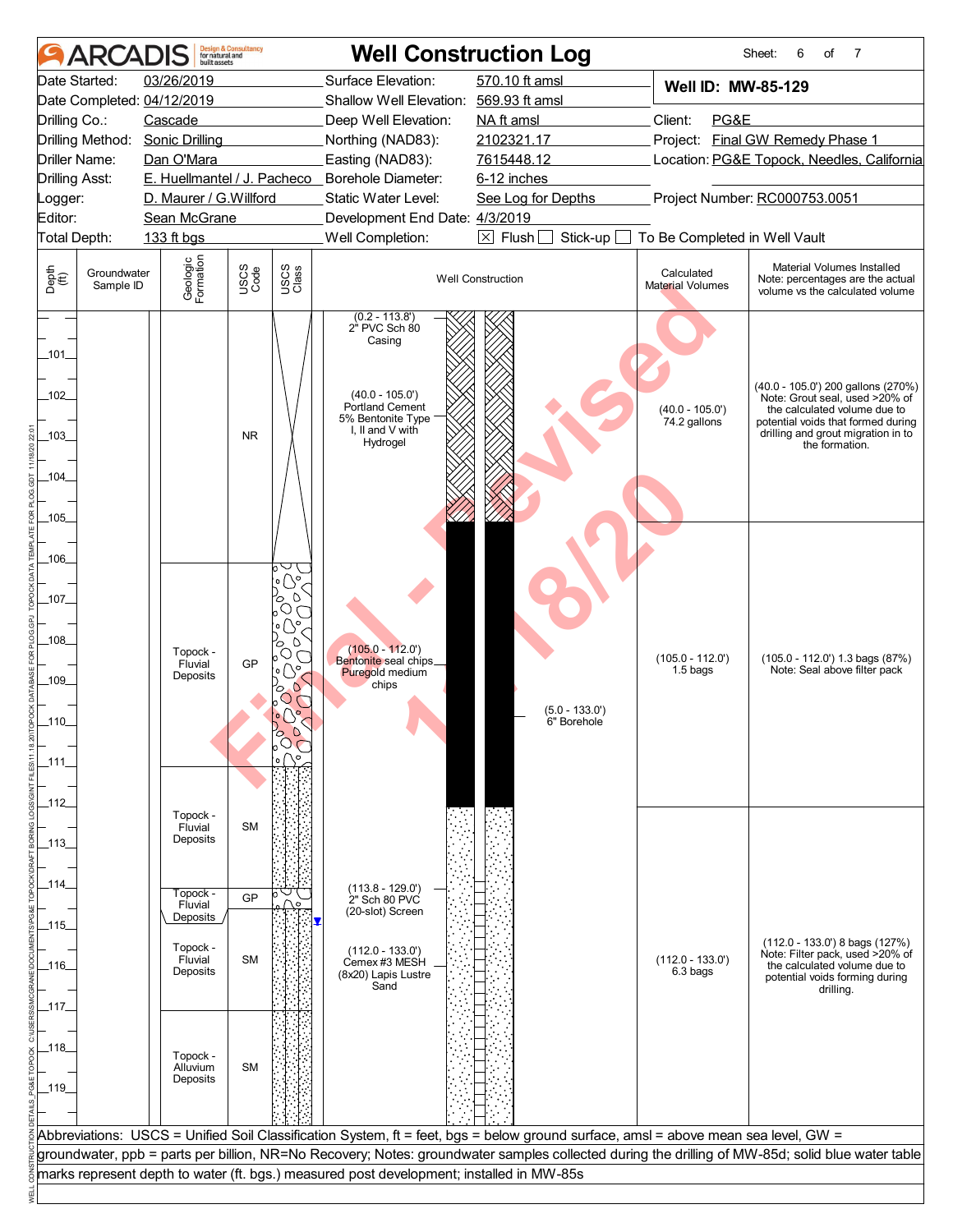|                                                                  | <b>ARCADIS</b>           | built assets                                                                                                                  | <b>Design &amp; Consultancy</b><br>for natural and |                                                                                                                                                                                                                                   |                                                                                                                                        | <b>Well Construction Log</b>                                                                                                       |                                       | Sheet:<br>7<br>6<br>of                                                                                                                                                                             |  |  |  |
|------------------------------------------------------------------|--------------------------|-------------------------------------------------------------------------------------------------------------------------------|----------------------------------------------------|-----------------------------------------------------------------------------------------------------------------------------------------------------------------------------------------------------------------------------------|----------------------------------------------------------------------------------------------------------------------------------------|------------------------------------------------------------------------------------------------------------------------------------|---------------------------------------|----------------------------------------------------------------------------------------------------------------------------------------------------------------------------------------------------|--|--|--|
| Date Started:                                                    |                          | 03/26/2019                                                                                                                    |                                                    |                                                                                                                                                                                                                                   | Surface Elevation:                                                                                                                     | 570.10 ft amsl                                                                                                                     | Well ID: MW-85-129                    |                                                                                                                                                                                                    |  |  |  |
| Date Completed: 04/12/2019                                       |                          |                                                                                                                               |                                                    |                                                                                                                                                                                                                                   | Shallow Well Elevation: 569.93 ft amsl                                                                                                 |                                                                                                                                    |                                       |                                                                                                                                                                                                    |  |  |  |
| Drilling Co.:                                                    |                          | Cascade                                                                                                                       |                                                    |                                                                                                                                                                                                                                   | Deep Well Elevation:                                                                                                                   | NA ft amsl                                                                                                                         | Client:<br>PG&E                       |                                                                                                                                                                                                    |  |  |  |
|                                                                  |                          | Drilling Method: Sonic Drilling                                                                                               |                                                    |                                                                                                                                                                                                                                   | Northing (NAD83):                                                                                                                      | 2102321.17                                                                                                                         |                                       | Project: Final GW Remedy Phase 1                                                                                                                                                                   |  |  |  |
| <b>Driller Name:</b>                                             |                          | Dan O'Mara                                                                                                                    |                                                    |                                                                                                                                                                                                                                   | Easting (NAD83):                                                                                                                       | 7615448.12                                                                                                                         |                                       | Location: PG&E Topock, Needles, California                                                                                                                                                         |  |  |  |
| <b>Drilling Asst:</b>                                            |                          |                                                                                                                               |                                                    |                                                                                                                                                                                                                                   | E. Huellmantel / J. Pacheco _ Borehole Diameter:                                                                                       | 6-12 inches                                                                                                                        |                                       |                                                                                                                                                                                                    |  |  |  |
| Logger:                                                          |                          | D. Maurer / G.Willford                                                                                                        |                                                    |                                                                                                                                                                                                                                   | Static Water Level:                                                                                                                    | See Log for Depths                                                                                                                 | Project Number: RC000753.0051         |                                                                                                                                                                                                    |  |  |  |
| Editor:                                                          |                          | Sean McGrane                                                                                                                  |                                                    |                                                                                                                                                                                                                                   | Development End Date: 4/3/2019                                                                                                         |                                                                                                                                    |                                       |                                                                                                                                                                                                    |  |  |  |
| Total Depth:                                                     |                          | 133 ft bgs                                                                                                                    |                                                    |                                                                                                                                                                                                                                   | Well Completion:                                                                                                                       | $\boxtimes$ Flush<br>Stick-up                                                                                                      | To Be Completed in Well Vault         |                                                                                                                                                                                                    |  |  |  |
| Depth<br>(ff)                                                    | Groundwater<br>Sample ID | Geologic<br>Formation                                                                                                         | USCS<br>Code                                       | USCS<br>Class                                                                                                                                                                                                                     |                                                                                                                                        | <b>Well Construction</b>                                                                                                           | Calculated<br><b>Material Volumes</b> | Material Volumes Installed<br>Note: percentages are the actual<br>volume vs the calculated volume                                                                                                  |  |  |  |
| _101_<br>$-102$<br>$-103$<br>104<br>$-105$                       |                          |                                                                                                                               | <b>NR</b>                                          |                                                                                                                                                                                                                                   | (0.2 - 113.8')<br>2" PVC Sch 80<br>Casing<br>$(40.0 - 105.0')$<br>Portland Cement<br>5% Bentonite Type<br>I, II and V with<br>Hydrogel |                                                                                                                                    | $(40.0 - 105.0')$<br>74.2 gallons     | (40.0 - 105.0') 200 gallons (270%)<br>Note: Grout seal, used >20% of<br>the calculated volume due to<br>potential voids that formed during<br>drilling and grout migration in to<br>the formation. |  |  |  |
| _106_<br>$-107$<br>$-108$<br>$-109$<br>$-110$<br>$-111$<br>_112_ |                          | Topock -<br>Fluvial<br>Deposits<br>Topock -                                                                                   | <b>GP</b>                                          | ∍∪<br>$\overline{\phantom{a}}\circ\overline{\phantom{a}}$<br>$\circ$<br>O<br>O,<br>$\overline{\circ}$ $\mathbb{O}^{\circ}$<br>$\circ$<br>O<br>$\circ$<br>$\circ$ $\circ$ $\circ$<br>$\circ$<br>Ο<br>$\bigcirc$<br>50 <sup>o</sup> | $(105.0 - 112.0')$<br>Bentonite seal chips_<br>Puregold medium<br>chips                                                                | $(5.0 - 133.0')$<br>6" Borehole                                                                                                    | $(105.0 - 112.0')$<br>1.5 bags        | (105.0 - 112.0') 1.3 bags (87%)<br>Note: Seal above filter pack                                                                                                                                    |  |  |  |
| _113_<br>_114_<br>_115_<br>_116_<br>_117_<br>_118_<br>$\_119$    |                          | Fluvial<br>Deposits<br>Topock -<br>Fluvial<br>Deposits<br>Topock -<br>Fluvial<br>Deposits<br>Topock -<br>Alluvium<br>Deposits | <b>SM</b><br>GP<br><b>SM</b><br><b>SM</b>          | ه ۱                                                                                                                                                                                                                               | $(113.8 - 129.0)$<br>2" Sch 80 PVC<br>(20-slot) Screen<br>$(112.0 - 133.0)$<br>Cemex #3 MESH<br>(8x20) Lapis Lustre<br>Sand            |                                                                                                                                    | $(112.0 - 133.0')$<br>6.3 bags        | $(112.0 - 133.0)$ 8 bags $(127%)$<br>Note: Filter pack, used >20% of<br>the calculated volume due to<br>potential voids forming during<br>drilling.                                                |  |  |  |
|                                                                  |                          |                                                                                                                               |                                                    |                                                                                                                                                                                                                                   |                                                                                                                                        | Abbreviations: USCS = Unified Soil Classification System, ft = feet, bgs = below ground surface, amsl = above mean sea level, GW = |                                       |                                                                                                                                                                                                    |  |  |  |
|                                                                  |                          |                                                                                                                               |                                                    |                                                                                                                                                                                                                                   |                                                                                                                                        |                                                                                                                                    |                                       | groundwater, ppb = parts per billion, NR=No Recovery; Notes: groundwater samples collected during the drilling of MW-85d; solid blue water table                                                   |  |  |  |
|                                                                  |                          |                                                                                                                               |                                                    |                                                                                                                                                                                                                                   | marks represent depth to water (ft. bgs.) measured post development; installed in MW-85s                                               |                                                                                                                                    |                                       |                                                                                                                                                                                                    |  |  |  |
|                                                                  |                          |                                                                                                                               |                                                    |                                                                                                                                                                                                                                   |                                                                                                                                        |                                                                                                                                    |                                       |                                                                                                                                                                                                    |  |  |  |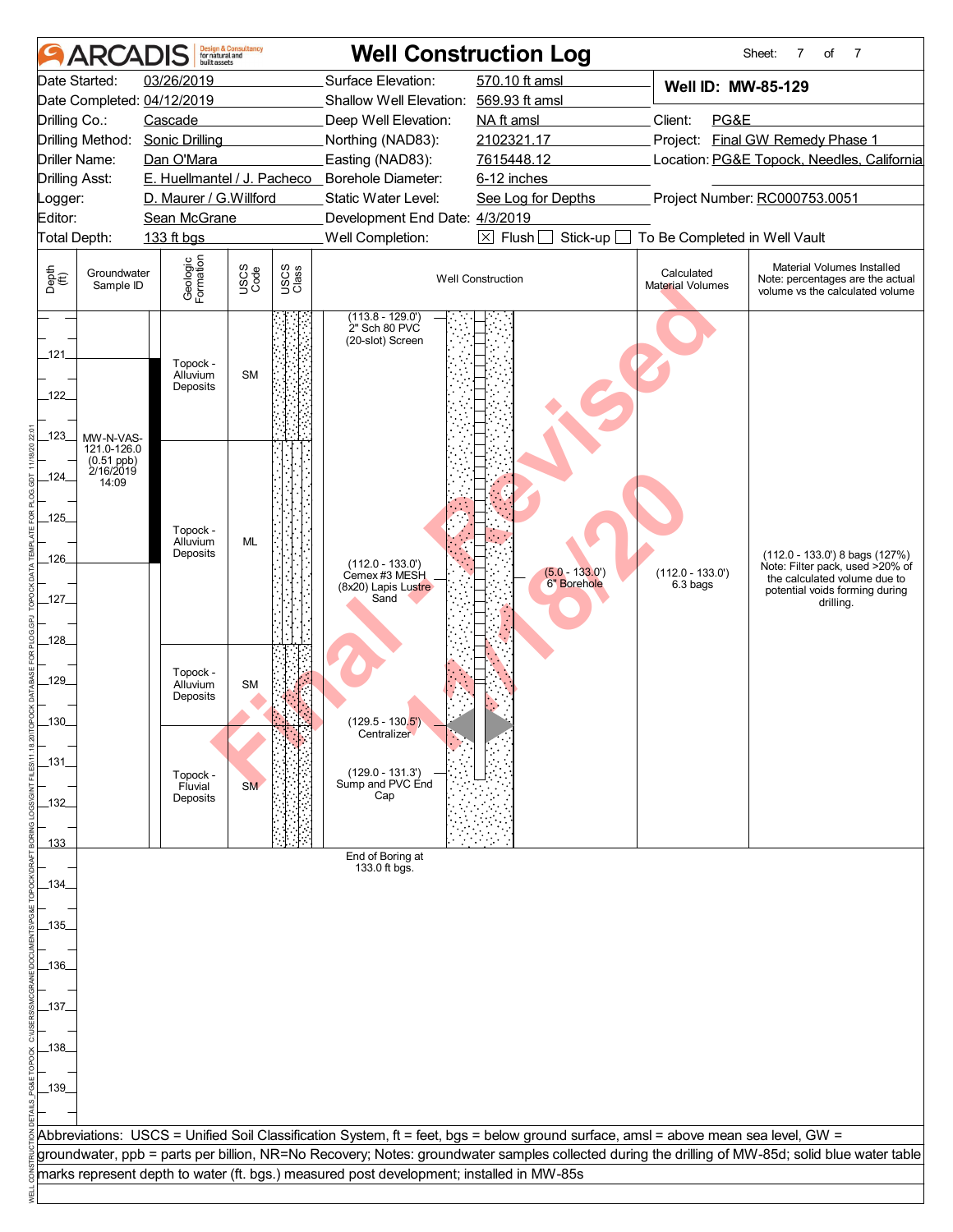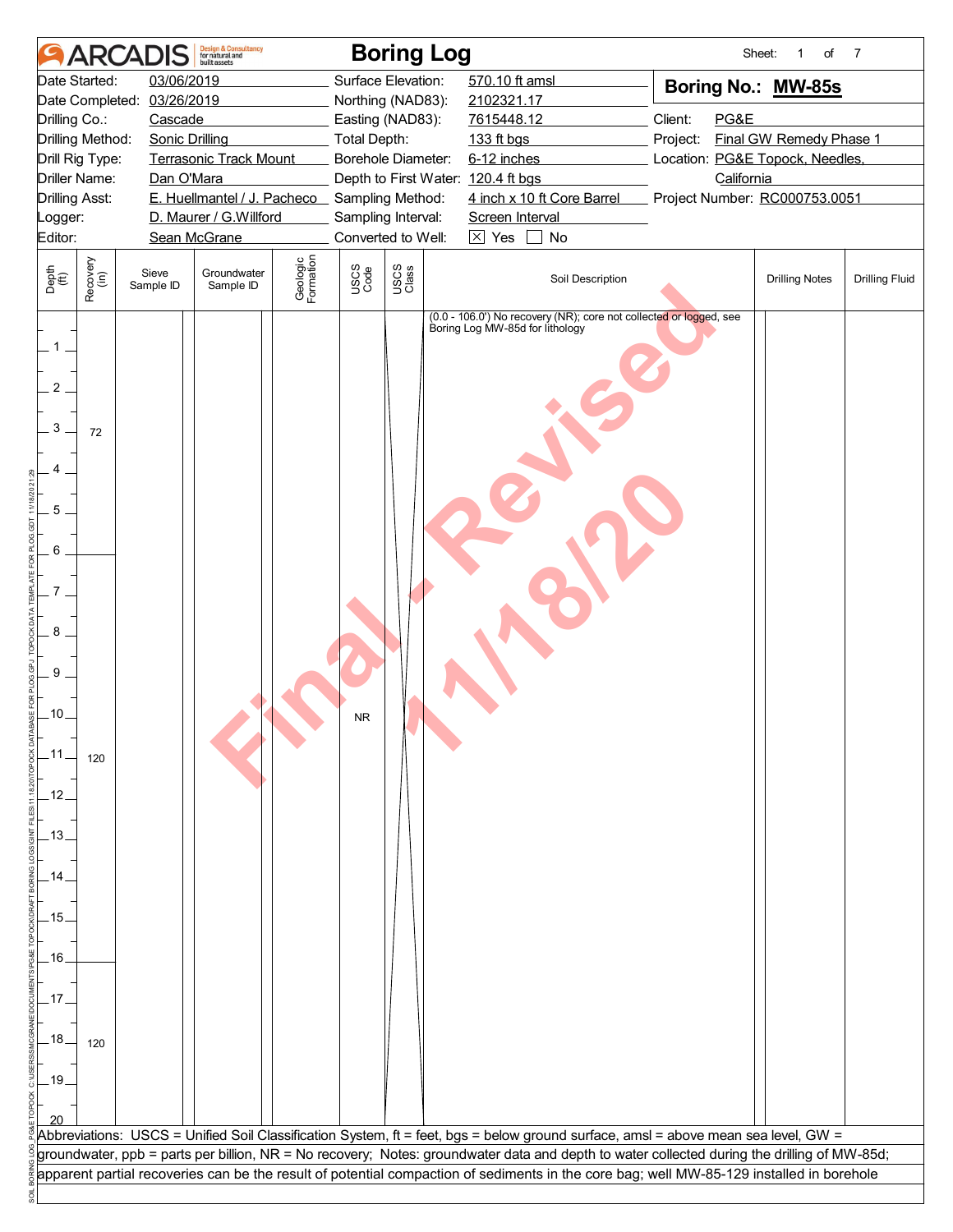|                                                                                                                     | <b>ARCA</b>      |                            | <b>Design &amp; Consultancy</b><br>for natural and<br>built assets     |                       |              | <b>Boring Log</b>                  |                                 |                                                                                                                                             |                               | Sheet:     | of<br>1                         | 7                     |
|---------------------------------------------------------------------------------------------------------------------|------------------|----------------------------|------------------------------------------------------------------------|-----------------------|--------------|------------------------------------|---------------------------------|---------------------------------------------------------------------------------------------------------------------------------------------|-------------------------------|------------|---------------------------------|-----------------------|
|                                                                                                                     | Date Started:    | 03/06/2019                 |                                                                        |                       |              | Surface Elevation:                 | 570.10 ft amsl                  |                                                                                                                                             |                               |            | Boring No.: MW-85s              |                       |
|                                                                                                                     |                  | Date Completed: 03/26/2019 |                                                                        |                       |              | Northing (NAD83):                  | 2102321.17                      |                                                                                                                                             |                               |            |                                 |                       |
| Drilling Co.:                                                                                                       |                  | Cascade                    |                                                                        |                       |              | Easting (NAD83):                   | 7615448.12                      |                                                                                                                                             | Client:                       | PG&E       |                                 |                       |
|                                                                                                                     | Drilling Method: | <b>Sonic Drilling</b>      |                                                                        |                       | Total Depth: |                                    | 133 ft bgs                      |                                                                                                                                             | Project:                      |            | Final GW Remedy Phase 1         |                       |
|                                                                                                                     | Drill Rig Type:  |                            | <b>Terrasonic Track Mount</b>                                          |                       |              | Borehole Diameter:                 | 6-12 inches                     |                                                                                                                                             |                               |            | Location: PG&E Topock, Needles, |                       |
|                                                                                                                     | Driller Name:    | Dan O'Mara                 |                                                                        |                       |              | Depth to First Water: 120.4 ft bgs |                                 |                                                                                                                                             | Project Number: RC000753.0051 | California |                                 |                       |
| Drilling Asst:                                                                                                      |                  |                            | E. Huellmantel / J. Pacheco Sampling Method:<br>D. Maurer / G.Willford |                       |              | Sampling Interval:                 | Screen Interval                 | 4 inch x 10 ft Core Barrel                                                                                                                  |                               |            |                                 |                       |
| _ogger:<br>Editor:                                                                                                  |                  |                            | Sean McGrane                                                           |                       |              | Converted to Well:                 | $\boxtimes$ Yes                 | No                                                                                                                                          |                               |            |                                 |                       |
|                                                                                                                     |                  |                            |                                                                        |                       |              |                                    |                                 |                                                                                                                                             |                               |            |                                 |                       |
| Depth<br>$\widetilde{f(t)}$                                                                                         | Recovery<br>(in) | Sieve<br>Sample ID         | Groundwater<br>Sample ID                                               | Geologic<br>Formation | USCS<br>Code | USCS<br>Class                      |                                 | Soil Description                                                                                                                            |                               |            | <b>Drilling Notes</b>           | <b>Drilling Fluid</b> |
| $\overline{2}$<br>3<br>5<br>6<br>8<br>9<br>.10<br>.11<br>.12.<br>$-13.$<br>14<br>.15.<br>.16<br>.17<br>.18.<br>.19. | 72<br>120<br>120 |                            |                                                                        |                       | NR.          |                                    | Boring Log MW-85d for lithology | (0.0 - 106.0') No recovery (NR); core not collected or logged, see                                                                          |                               |            |                                 |                       |
|                                                                                                                     |                  |                            |                                                                        |                       |              |                                    |                                 |                                                                                                                                             |                               |            |                                 |                       |
|                                                                                                                     |                  |                            |                                                                        |                       |              |                                    |                                 | Abbreviations: USCS = Unified Soil Classification System, ft = feet, bgs = below ground surface, amsl = above mean sea level, GW =          |                               |            |                                 |                       |
|                                                                                                                     |                  |                            |                                                                        |                       |              |                                    |                                 | groundwater, ppb = parts per billion, NR = No recovery; Notes: groundwater data and depth to water collected during the drilling of MW-85d; |                               |            |                                 |                       |
|                                                                                                                     |                  |                            |                                                                        |                       |              |                                    |                                 | apparent partial recoveries can be the result of potential compaction of sediments in the core bag; well MW-85-129 installed in borehole    |                               |            |                                 |                       |
|                                                                                                                     |                  |                            |                                                                        |                       |              |                                    |                                 |                                                                                                                                             |                               |            |                                 |                       |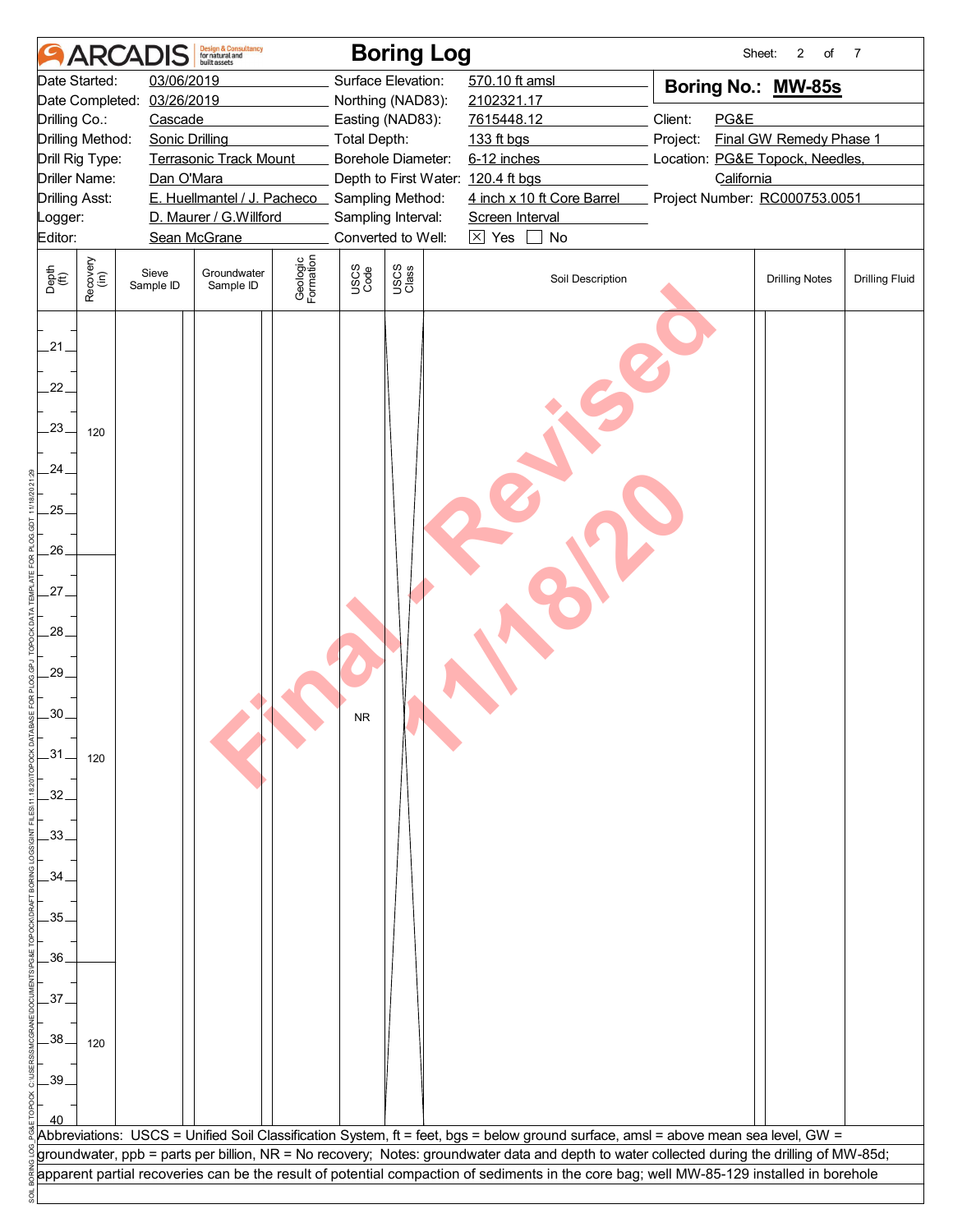|                             |                                        | <b>ARCADIS</b>             | <b>Design &amp; Consultancy</b><br>for natural and<br>built assets |                       |              | <b>Boring Log</b>                                      |                 |                            |                                                                                                                                             | Sheet:<br>2<br>of       | 7                     |
|-----------------------------|----------------------------------------|----------------------------|--------------------------------------------------------------------|-----------------------|--------------|--------------------------------------------------------|-----------------|----------------------------|---------------------------------------------------------------------------------------------------------------------------------------------|-------------------------|-----------------------|
|                             | Date Started:                          | 03/06/2019                 |                                                                    |                       |              | Surface Elevation:                                     | 570.10 ft amsl  |                            | Boring No.: MW-85s                                                                                                                          |                         |                       |
|                             |                                        | Date Completed: 03/26/2019 |                                                                    |                       |              | Northing (NAD83):                                      | 2102321.17      |                            |                                                                                                                                             |                         |                       |
| Drilling Co.:               |                                        | Cascade                    |                                                                    |                       |              | Easting (NAD83):                                       | 7615448.12      |                            | Client:<br>PG&E                                                                                                                             |                         |                       |
|                             | Drilling Method:                       | <b>Sonic Drilling</b>      |                                                                    |                       | Total Depth: |                                                        | 133 ft bgs      |                            | Project:                                                                                                                                    | Final GW Remedy Phase 1 |                       |
|                             | Drill Rig Type:                        |                            | <b>Terrasonic Track Mount</b>                                      |                       |              | Borehole Diameter:                                     | 6-12 inches     |                            | Location: PG&E Topock, Needles,                                                                                                             |                         |                       |
|                             | Driller Name:<br><b>Drilling Asst:</b> | Dan O'Mara                 | E. Huellmantel / J. Pacheco                                        |                       |              | Depth to First Water: 120.4 ft bgs<br>Sampling Method: |                 | 4 inch x 10 ft Core Barrel | California<br>Project Number: RC000753.0051                                                                                                 |                         |                       |
| _ogger:                     |                                        |                            | D. Maurer / G.Willford                                             |                       |              | Sampling Interval:                                     | Screen Interval |                            |                                                                                                                                             |                         |                       |
| Editor:                     |                                        |                            | Sean McGrane                                                       |                       |              | Converted to Well:                                     | $\boxtimes$ Yes | No                         |                                                                                                                                             |                         |                       |
|                             |                                        |                            |                                                                    |                       |              |                                                        |                 |                            |                                                                                                                                             |                         |                       |
| Depth<br>$\widetilde{f(t)}$ | Recovery<br>(in)                       | Sieve<br>Sample ID         | Groundwater<br>Sample ID                                           | Geologic<br>Formation | USCS<br>Code | USCS<br>Class                                          |                 | Soil Description           |                                                                                                                                             | <b>Drilling Notes</b>   | <b>Drilling Fluid</b> |
| 21                          |                                        |                            |                                                                    |                       |              |                                                        |                 |                            |                                                                                                                                             |                         |                       |
| 22.                         |                                        |                            |                                                                    |                       |              |                                                        |                 |                            |                                                                                                                                             |                         |                       |
| 23.                         | 120                                    |                            |                                                                    |                       |              |                                                        |                 |                            |                                                                                                                                             |                         |                       |
| .24.                        |                                        |                            |                                                                    |                       |              |                                                        |                 |                            |                                                                                                                                             |                         |                       |
| .25.<br>.26.                |                                        |                            |                                                                    |                       |              |                                                        |                 |                            |                                                                                                                                             |                         |                       |
| 27.                         |                                        |                            |                                                                    |                       |              |                                                        |                 |                            |                                                                                                                                             |                         |                       |
| 28                          |                                        |                            |                                                                    |                       |              |                                                        |                 |                            |                                                                                                                                             |                         |                       |
| 29.                         |                                        |                            |                                                                    |                       |              |                                                        |                 |                            |                                                                                                                                             |                         |                       |
| .30.                        |                                        |                            |                                                                    |                       | NR.          |                                                        |                 |                            |                                                                                                                                             |                         |                       |
| $-31$                       | 120                                    |                            |                                                                    |                       |              |                                                        |                 |                            |                                                                                                                                             |                         |                       |
| 32 <sub>1</sub>             |                                        |                            |                                                                    |                       |              |                                                        |                 |                            |                                                                                                                                             |                         |                       |
| .33.<br>34                  |                                        |                            |                                                                    |                       |              |                                                        |                 |                            |                                                                                                                                             |                         |                       |
| .35.                        |                                        |                            |                                                                    |                       |              |                                                        |                 |                            |                                                                                                                                             |                         |                       |
| .36                         |                                        |                            |                                                                    |                       |              |                                                        |                 |                            |                                                                                                                                             |                         |                       |
| 37.                         |                                        |                            |                                                                    |                       |              |                                                        |                 |                            |                                                                                                                                             |                         |                       |
| .38                         | 120                                    |                            |                                                                    |                       |              |                                                        |                 |                            |                                                                                                                                             |                         |                       |
| .39                         |                                        |                            |                                                                    |                       |              |                                                        |                 |                            |                                                                                                                                             |                         |                       |
|                             |                                        |                            |                                                                    |                       |              |                                                        |                 |                            | Abbreviations: USCS = Unified Soil Classification System, ft = feet, bgs = below ground surface, amsl = above mean sea level, GW =          |                         |                       |
|                             |                                        |                            |                                                                    |                       |              |                                                        |                 |                            | groundwater, ppb = parts per billion, NR = No recovery; Notes: groundwater data and depth to water collected during the drilling of MW-85d; |                         |                       |
|                             |                                        |                            |                                                                    |                       |              |                                                        |                 |                            | apparent partial recoveries can be the result of potential compaction of sediments in the core bag; well MW-85-129 installed in borehole    |                         |                       |
|                             |                                        |                            |                                                                    |                       |              |                                                        |                 |                            |                                                                                                                                             |                         |                       |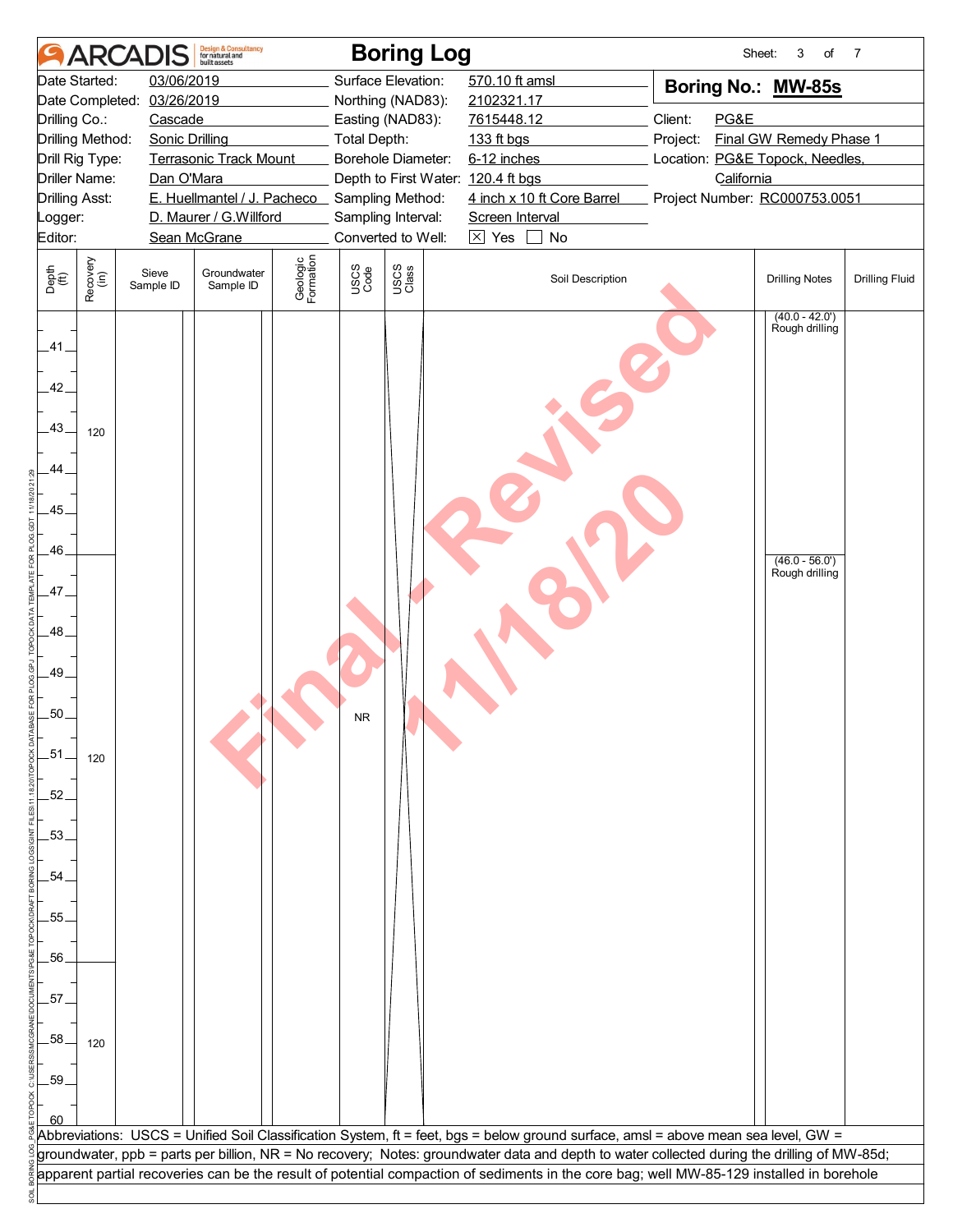|                             |                                  | <b>ARCADIS</b>             | <b>Design &amp; Consultancy</b><br>for natural and<br>built assets |                       |                     | <b>Boring Log</b>                                        |                      |                            | Sheet:                                                                                                                                      | 3<br>of                           | 7                     |
|-----------------------------|----------------------------------|----------------------------|--------------------------------------------------------------------|-----------------------|---------------------|----------------------------------------------------------|----------------------|----------------------------|---------------------------------------------------------------------------------------------------------------------------------------------|-----------------------------------|-----------------------|
|                             | Date Started:                    | 03/06/2019                 |                                                                    |                       |                     | Surface Elevation:                                       | 570.10 ft amsl       |                            | Boring No.: MW-85s                                                                                                                          |                                   |                       |
|                             |                                  | Date Completed: 03/26/2019 |                                                                    |                       |                     | Northing (NAD83):                                        | 2102321.17           |                            |                                                                                                                                             |                                   |                       |
| Drilling Co.:               |                                  | Cascade                    |                                                                    |                       |                     | Easting (NAD83):                                         | 7615448.12           |                            | Client:<br>PG&E                                                                                                                             |                                   |                       |
|                             | Drilling Method:                 | <b>Sonic Drilling</b>      |                                                                    |                       | <b>Total Depth:</b> |                                                          | 133 ft bgs           |                            | Project:                                                                                                                                    | Final GW Remedy Phase 1           |                       |
|                             | Drill Rig Type:<br>Driller Name: | Dan O'Mara                 | <b>Terrasonic Track Mount</b>                                      |                       |                     | Borehole Diameter:<br>Depth to First Water: 120.4 ft bgs | 6-12 inches          |                            | Location: PG&E Topock, Needles,<br>California                                                                                               |                                   |                       |
| <b>Drilling Asst:</b>       |                                  |                            | E. Huellmantel / J. Pacheco Sampling Method:                       |                       |                     |                                                          |                      | 4 inch x 10 ft Core Barrel | Project Number: RC000753.0051                                                                                                               |                                   |                       |
| _ogger:                     |                                  |                            | D. Maurer / G.Willford                                             |                       |                     | Sampling Interval:                                       | Screen Interval      |                            |                                                                                                                                             |                                   |                       |
| Editor:                     |                                  |                            | Sean McGrane                                                       |                       |                     | Converted to Well:                                       | $\boxed{\times}$ Yes | No                         |                                                                                                                                             |                                   |                       |
|                             |                                  |                            |                                                                    |                       |                     |                                                          |                      |                            |                                                                                                                                             |                                   |                       |
| Depth<br>$\widetilde{f(t)}$ | Recovery<br>(in)                 | Sieve<br>Sample ID         | Groundwater<br>Sample ID                                           | Geologic<br>Formation | USCS<br>Code        | USCS<br>Class                                            |                      | Soil Description           |                                                                                                                                             | <b>Drilling Notes</b>             | <b>Drilling Fluid</b> |
| .41.<br>42                  |                                  |                            |                                                                    |                       |                     |                                                          |                      |                            |                                                                                                                                             | $(40.0 - 42.0)$<br>Rough drilling |                       |
| .43.<br>44.                 | 120                              |                            |                                                                    |                       |                     |                                                          |                      |                            |                                                                                                                                             |                                   |                       |
|                             |                                  |                            |                                                                    |                       |                     |                                                          |                      |                            |                                                                                                                                             |                                   |                       |
| .45                         |                                  |                            |                                                                    |                       |                     |                                                          |                      |                            |                                                                                                                                             |                                   |                       |
| .46                         |                                  |                            |                                                                    |                       |                     |                                                          |                      |                            |                                                                                                                                             | $(46.0 - 56.0')$                  |                       |
| .47.                        |                                  |                            |                                                                    |                       |                     |                                                          |                      |                            |                                                                                                                                             | Rough drilling                    |                       |
| .48                         |                                  |                            |                                                                    |                       |                     |                                                          |                      |                            |                                                                                                                                             |                                   |                       |
| .49.                        |                                  |                            |                                                                    |                       |                     |                                                          |                      |                            |                                                                                                                                             |                                   |                       |
| .50.                        |                                  |                            |                                                                    |                       | <b>NR</b>           |                                                          |                      |                            |                                                                                                                                             |                                   |                       |
| .51                         | 120                              |                            |                                                                    |                       |                     |                                                          |                      |                            |                                                                                                                                             |                                   |                       |
| .52.                        |                                  |                            |                                                                    |                       |                     |                                                          |                      |                            |                                                                                                                                             |                                   |                       |
| .53                         |                                  |                            |                                                                    |                       |                     |                                                          |                      |                            |                                                                                                                                             |                                   |                       |
| 54                          |                                  |                            |                                                                    |                       |                     |                                                          |                      |                            |                                                                                                                                             |                                   |                       |
| 55                          |                                  |                            |                                                                    |                       |                     |                                                          |                      |                            |                                                                                                                                             |                                   |                       |
| .56                         |                                  |                            |                                                                    |                       |                     |                                                          |                      |                            |                                                                                                                                             |                                   |                       |
| .57                         |                                  |                            |                                                                    |                       |                     |                                                          |                      |                            |                                                                                                                                             |                                   |                       |
| .58                         | 120                              |                            |                                                                    |                       |                     |                                                          |                      |                            |                                                                                                                                             |                                   |                       |
| .59                         |                                  |                            |                                                                    |                       |                     |                                                          |                      |                            |                                                                                                                                             |                                   |                       |
|                             |                                  |                            |                                                                    |                       |                     |                                                          |                      |                            |                                                                                                                                             |                                   |                       |
|                             |                                  |                            |                                                                    |                       |                     |                                                          |                      |                            | Abbreviations: USCS = Unified Soil Classification System, ft = feet, bgs = below ground surface, amsl = above mean sea level, GW =          |                                   |                       |
|                             |                                  |                            |                                                                    |                       |                     |                                                          |                      |                            | groundwater, ppb = parts per billion, NR = No recovery; Notes: groundwater data and depth to water collected during the drilling of MW-85d; |                                   |                       |
|                             |                                  |                            |                                                                    |                       |                     |                                                          |                      |                            | apparent partial recoveries can be the result of potential compaction of sediments in the core bag; well MW-85-129 installed in borehole    |                                   |                       |
|                             |                                  |                            |                                                                    |                       |                     |                                                          |                      |                            |                                                                                                                                             |                                   |                       |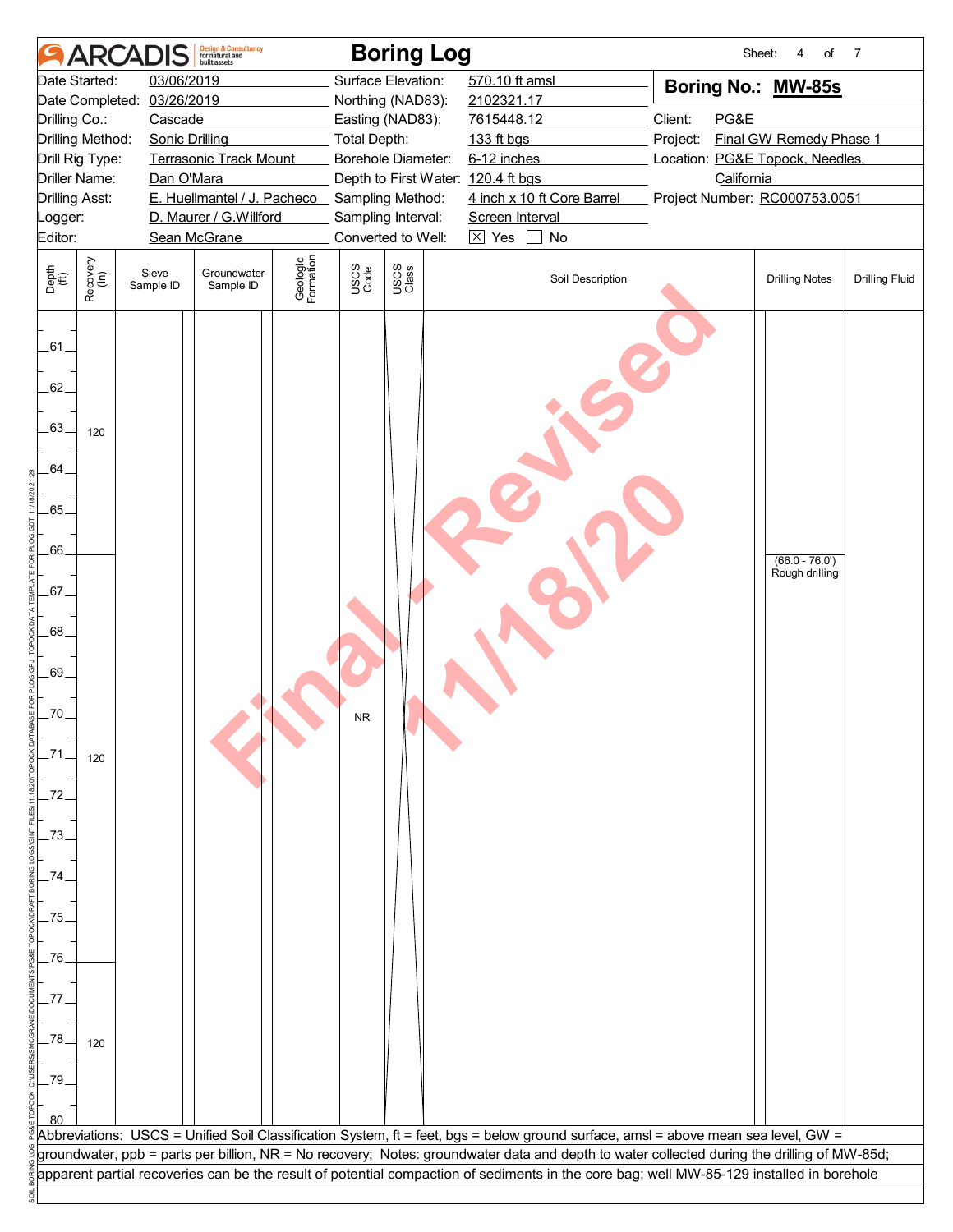|                             |                      | <b>ARCADIS</b>             | <b>Design &amp; Consultancy</b><br>for natural and<br>built assets |                       |                     | <b>Boring Log</b>                  |                      |                            | Sheet:                                                                                                                                      | of<br>4                 | 7                     |
|-----------------------------|----------------------|----------------------------|--------------------------------------------------------------------|-----------------------|---------------------|------------------------------------|----------------------|----------------------------|---------------------------------------------------------------------------------------------------------------------------------------------|-------------------------|-----------------------|
|                             | Date Started:        | 03/06/2019                 |                                                                    |                       |                     | Surface Elevation:                 | 570.10 ft amsl       |                            | Boring No.: MW-85s                                                                                                                          |                         |                       |
|                             |                      | Date Completed: 03/26/2019 |                                                                    |                       |                     | Northing (NAD83):                  | 2102321.17           |                            |                                                                                                                                             |                         |                       |
| Drilling Co.:               |                      | Cascade                    |                                                                    |                       |                     | Easting (NAD83):                   | 7615448.12           |                            | Client:<br>PG&E                                                                                                                             |                         |                       |
|                             | Drilling Method:     | <b>Sonic Drilling</b>      |                                                                    |                       | <b>Total Depth:</b> |                                    | 133 ft bgs           |                            | Project:                                                                                                                                    | Final GW Remedy Phase 1 |                       |
|                             | Drill Rig Type:      |                            | <b>Terrasonic Track Mount</b>                                      |                       |                     | Borehole Diameter:                 | 6-12 inches          |                            | Location: PG&E Topock, Needles,                                                                                                             |                         |                       |
| <b>Drilling Asst:</b>       | <b>Driller Name:</b> | Dan O'Mara                 | E. Huellmantel / J. Pacheco Sampling Method:                       |                       |                     | Depth to First Water: 120.4 ft bgs |                      | 4 inch x 10 ft Core Barrel | California<br>Project Number: RC000753.0051                                                                                                 |                         |                       |
| _ogger:                     |                      |                            | D. Maurer / G. Willford                                            |                       |                     | Sampling Interval:                 | Screen Interval      |                            |                                                                                                                                             |                         |                       |
| Editor:                     |                      |                            | Sean McGrane                                                       |                       |                     | Converted to Well:                 | $\boxed{\times}$ Yes | No                         |                                                                                                                                             |                         |                       |
|                             |                      |                            |                                                                    |                       |                     |                                    |                      |                            |                                                                                                                                             |                         |                       |
| Depth<br>$\widetilde{f(t)}$ | Recovery<br>(in)     | Sieve<br>Sample ID         | Groundwater<br>Sample ID                                           | Geologic<br>Formation | USCS<br>Code        | USCS<br>Class                      |                      | Soil Description           |                                                                                                                                             | <b>Drilling Notes</b>   | <b>Drilling Fluid</b> |
| .61.                        |                      |                            |                                                                    |                       |                     |                                    |                      |                            |                                                                                                                                             |                         |                       |
| 62.                         |                      |                            |                                                                    |                       |                     |                                    |                      |                            |                                                                                                                                             |                         |                       |
| .63.                        | 120                  |                            |                                                                    |                       |                     |                                    |                      |                            |                                                                                                                                             |                         |                       |
| 64                          |                      |                            |                                                                    |                       |                     |                                    |                      |                            |                                                                                                                                             |                         |                       |
| .65.                        |                      |                            |                                                                    |                       |                     |                                    |                      |                            |                                                                                                                                             |                         |                       |
| .66.                        |                      |                            |                                                                    |                       |                     |                                    |                      |                            |                                                                                                                                             | $(66.0 - 76.0')$        |                       |
| .67.                        |                      |                            |                                                                    |                       |                     |                                    |                      |                            |                                                                                                                                             | Rough drilling          |                       |
| .68.                        |                      |                            |                                                                    |                       |                     |                                    |                      |                            |                                                                                                                                             |                         |                       |
| .69.                        |                      |                            |                                                                    |                       |                     |                                    |                      |                            |                                                                                                                                             |                         |                       |
| .70                         |                      |                            |                                                                    |                       | <b>NR</b>           |                                    |                      |                            |                                                                                                                                             |                         |                       |
|                             | 120                  |                            |                                                                    |                       |                     |                                    |                      |                            |                                                                                                                                             |                         |                       |
| .72                         |                      |                            |                                                                    |                       |                     |                                    |                      |                            |                                                                                                                                             |                         |                       |
| .73                         |                      |                            |                                                                    |                       |                     |                                    |                      |                            |                                                                                                                                             |                         |                       |
|                             |                      |                            |                                                                    |                       |                     |                                    |                      |                            |                                                                                                                                             |                         |                       |
| 75.                         |                      |                            |                                                                    |                       |                     |                                    |                      |                            |                                                                                                                                             |                         |                       |
| .76                         |                      |                            |                                                                    |                       |                     |                                    |                      |                            |                                                                                                                                             |                         |                       |
|                             |                      |                            |                                                                    |                       |                     |                                    |                      |                            |                                                                                                                                             |                         |                       |
| .78                         | 120                  |                            |                                                                    |                       |                     |                                    |                      |                            |                                                                                                                                             |                         |                       |
| .79                         |                      |                            |                                                                    |                       |                     |                                    |                      |                            |                                                                                                                                             |                         |                       |
|                             |                      |                            |                                                                    |                       |                     |                                    |                      |                            |                                                                                                                                             |                         |                       |
|                             |                      |                            |                                                                    |                       |                     |                                    |                      |                            | Abbreviations: USCS = Unified Soil Classification System, ft = feet, bgs = below ground surface, amsl = above mean sea level, GW =          |                         |                       |
|                             |                      |                            |                                                                    |                       |                     |                                    |                      |                            | groundwater, ppb = parts per billion, NR = No recovery; Notes: groundwater data and depth to water collected during the drilling of MW-85d; |                         |                       |
|                             |                      |                            |                                                                    |                       |                     |                                    |                      |                            | apparent partial recoveries can be the result of potential compaction of sediments in the core bag; well MW-85-129 installed in borehole    |                         |                       |
|                             |                      |                            |                                                                    |                       |                     |                                    |                      |                            |                                                                                                                                             |                         |                       |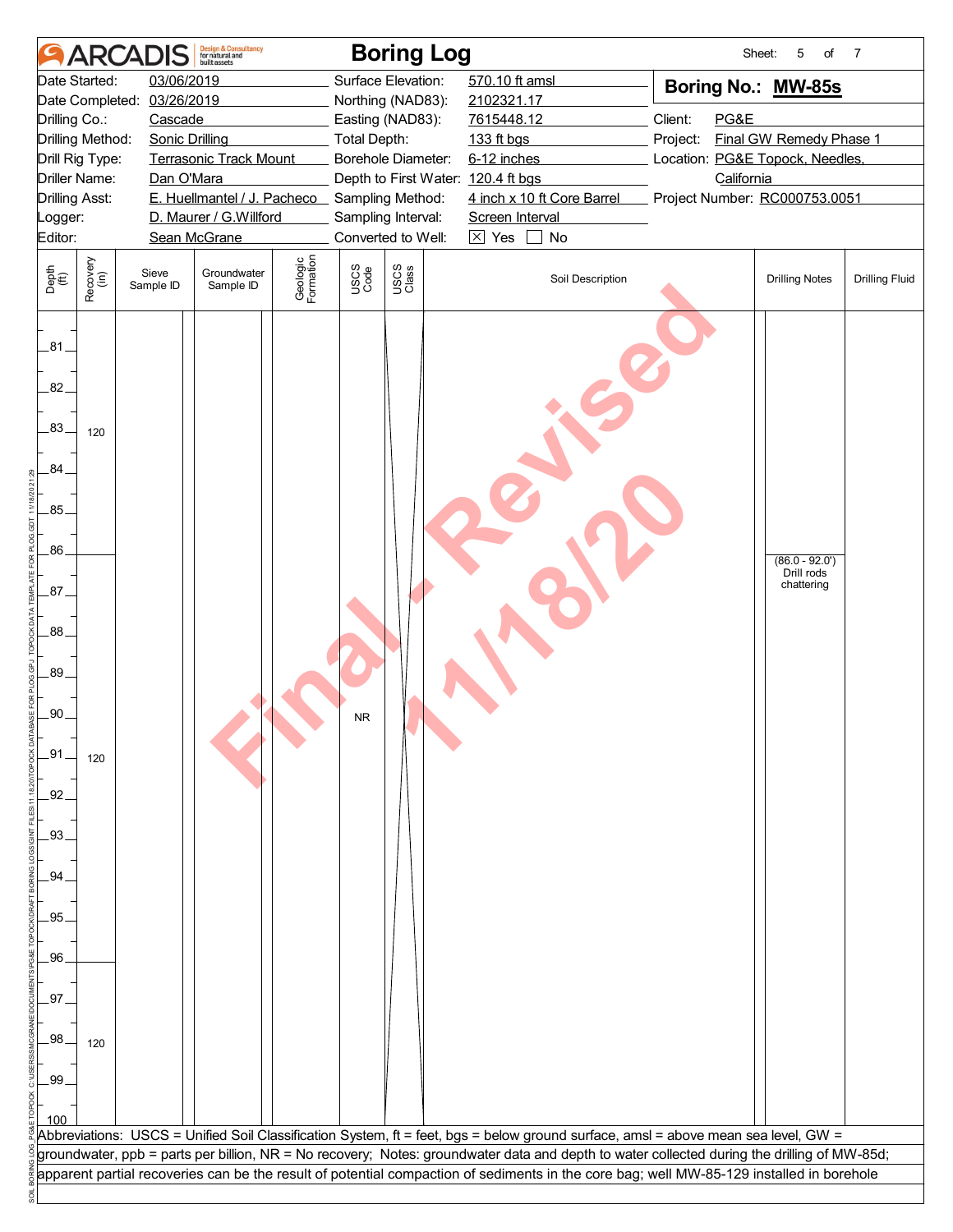|                             |                      | <b>ARCADIS</b>             | <b>Design &amp; Consultancy</b><br>for natural and<br>built assets |                       |                     | <b>Boring Log</b>                  |                      |                            | Sheet:                                                                                                                                                                                                                                                                                  | 5<br>of                       | 7                     |
|-----------------------------|----------------------|----------------------------|--------------------------------------------------------------------|-----------------------|---------------------|------------------------------------|----------------------|----------------------------|-----------------------------------------------------------------------------------------------------------------------------------------------------------------------------------------------------------------------------------------------------------------------------------------|-------------------------------|-----------------------|
|                             | Date Started:        | 03/06/2019                 |                                                                    |                       |                     | Surface Elevation:                 | 570.10 ft amsl       |                            | Boring No.: MW-85s                                                                                                                                                                                                                                                                      |                               |                       |
|                             |                      | Date Completed: 03/26/2019 |                                                                    |                       |                     | Northing (NAD83):                  | 2102321.17           |                            |                                                                                                                                                                                                                                                                                         |                               |                       |
| Drilling Co.:               |                      | Cascade                    |                                                                    |                       |                     | Easting (NAD83):                   | 7615448.12           |                            | Client:<br>PG&E                                                                                                                                                                                                                                                                         |                               |                       |
|                             | Drilling Method:     | <b>Sonic Drilling</b>      |                                                                    |                       | <b>Total Depth:</b> |                                    | 133 ft bgs           |                            | Project:                                                                                                                                                                                                                                                                                | Final GW Remedy Phase 1       |                       |
|                             | Drill Rig Type:      |                            | <b>Terrasonic Track Mount</b>                                      |                       |                     | Borehole Diameter:                 | 6-12 inches          |                            | Location: PG&E Topock, Needles,                                                                                                                                                                                                                                                         |                               |                       |
| <b>Drilling Asst:</b>       | <b>Driller Name:</b> | Dan O'Mara                 | E. Huellmantel / J. Pacheco Sampling Method:                       |                       |                     | Depth to First Water: 120.4 ft bgs |                      | 4 inch x 10 ft Core Barrel | California<br>Project Number: RC000753.0051                                                                                                                                                                                                                                             |                               |                       |
| _ogger:                     |                      |                            | D. Maurer / G.Willford                                             |                       |                     | Sampling Interval:                 | Screen Interval      |                            |                                                                                                                                                                                                                                                                                         |                               |                       |
| Editor:                     |                      |                            | Sean McGrane                                                       |                       |                     | Converted to Well:                 | $\boxed{\times}$ Yes | No                         |                                                                                                                                                                                                                                                                                         |                               |                       |
|                             |                      |                            |                                                                    |                       |                     |                                    |                      |                            |                                                                                                                                                                                                                                                                                         |                               |                       |
| Depth<br>$\widetilde{f(t)}$ | Recovery<br>(in)     | Sieve<br>Sample ID         | Groundwater<br>Sample ID                                           | Geologic<br>Formation | USCS<br>Code        | USCS<br>Class                      |                      | Soil Description           |                                                                                                                                                                                                                                                                                         | <b>Drilling Notes</b>         | <b>Drilling Fluid</b> |
| .81<br>82.<br>.83.          | 120                  |                            |                                                                    |                       |                     |                                    |                      |                            |                                                                                                                                                                                                                                                                                         |                               |                       |
| 84                          |                      |                            |                                                                    |                       |                     |                                    |                      |                            |                                                                                                                                                                                                                                                                                         |                               |                       |
| .85.                        |                      |                            |                                                                    |                       |                     |                                    |                      |                            |                                                                                                                                                                                                                                                                                         |                               |                       |
|                             |                      |                            |                                                                    |                       |                     |                                    |                      |                            |                                                                                                                                                                                                                                                                                         |                               |                       |
| .86.                        |                      |                            |                                                                    |                       |                     |                                    |                      |                            |                                                                                                                                                                                                                                                                                         | $(86.0 - 92.0)$<br>Drill rods |                       |
| .87.                        |                      |                            |                                                                    |                       |                     |                                    |                      |                            |                                                                                                                                                                                                                                                                                         | chattering                    |                       |
| .88                         |                      |                            |                                                                    |                       |                     |                                    |                      |                            |                                                                                                                                                                                                                                                                                         |                               |                       |
| .89.                        |                      |                            |                                                                    |                       |                     |                                    |                      |                            |                                                                                                                                                                                                                                                                                         |                               |                       |
|                             |                      |                            |                                                                    |                       |                     |                                    |                      |                            |                                                                                                                                                                                                                                                                                         |                               |                       |
| .90                         |                      |                            |                                                                    |                       | <b>NR</b>           |                                    |                      |                            |                                                                                                                                                                                                                                                                                         |                               |                       |
| .91                         |                      |                            |                                                                    |                       |                     |                                    |                      |                            |                                                                                                                                                                                                                                                                                         |                               |                       |
|                             | 120                  |                            |                                                                    |                       |                     |                                    |                      |                            |                                                                                                                                                                                                                                                                                         |                               |                       |
| 92                          |                      |                            |                                                                    |                       |                     |                                    |                      |                            |                                                                                                                                                                                                                                                                                         |                               |                       |
| .93                         |                      |                            |                                                                    |                       |                     |                                    |                      |                            |                                                                                                                                                                                                                                                                                         |                               |                       |
| 94                          |                      |                            |                                                                    |                       |                     |                                    |                      |                            |                                                                                                                                                                                                                                                                                         |                               |                       |
| .95                         |                      |                            |                                                                    |                       |                     |                                    |                      |                            |                                                                                                                                                                                                                                                                                         |                               |                       |
|                             |                      |                            |                                                                    |                       |                     |                                    |                      |                            |                                                                                                                                                                                                                                                                                         |                               |                       |
| .96.                        |                      |                            |                                                                    |                       |                     |                                    |                      |                            |                                                                                                                                                                                                                                                                                         |                               |                       |
|                             |                      |                            |                                                                    |                       |                     |                                    |                      |                            |                                                                                                                                                                                                                                                                                         |                               |                       |
| .97                         |                      |                            |                                                                    |                       |                     |                                    |                      |                            |                                                                                                                                                                                                                                                                                         |                               |                       |
| 98                          |                      |                            |                                                                    |                       |                     |                                    |                      |                            |                                                                                                                                                                                                                                                                                         |                               |                       |
|                             | 120                  |                            |                                                                    |                       |                     |                                    |                      |                            |                                                                                                                                                                                                                                                                                         |                               |                       |
| .99                         |                      |                            |                                                                    |                       |                     |                                    |                      |                            |                                                                                                                                                                                                                                                                                         |                               |                       |
|                             |                      |                            |                                                                    |                       |                     |                                    |                      |                            |                                                                                                                                                                                                                                                                                         |                               |                       |
|                             |                      |                            |                                                                    |                       |                     |                                    |                      |                            |                                                                                                                                                                                                                                                                                         |                               |                       |
|                             |                      |                            |                                                                    |                       |                     |                                    |                      |                            | Abbreviations: USCS = Unified Soil Classification System, ft = feet, bgs = below ground surface, amsl = above mean sea level, GW =                                                                                                                                                      |                               |                       |
|                             |                      |                            |                                                                    |                       |                     |                                    |                      |                            | groundwater, ppb = parts per billion, NR = No recovery; Notes: groundwater data and depth to water collected during the drilling of MW-85d;<br>apparent partial recoveries can be the result of potential compaction of sediments in the core bag; well MW-85-129 installed in borehole |                               |                       |
|                             |                      |                            |                                                                    |                       |                     |                                    |                      |                            |                                                                                                                                                                                                                                                                                         |                               |                       |
|                             |                      |                            |                                                                    |                       |                     |                                    |                      |                            |                                                                                                                                                                                                                                                                                         |                               |                       |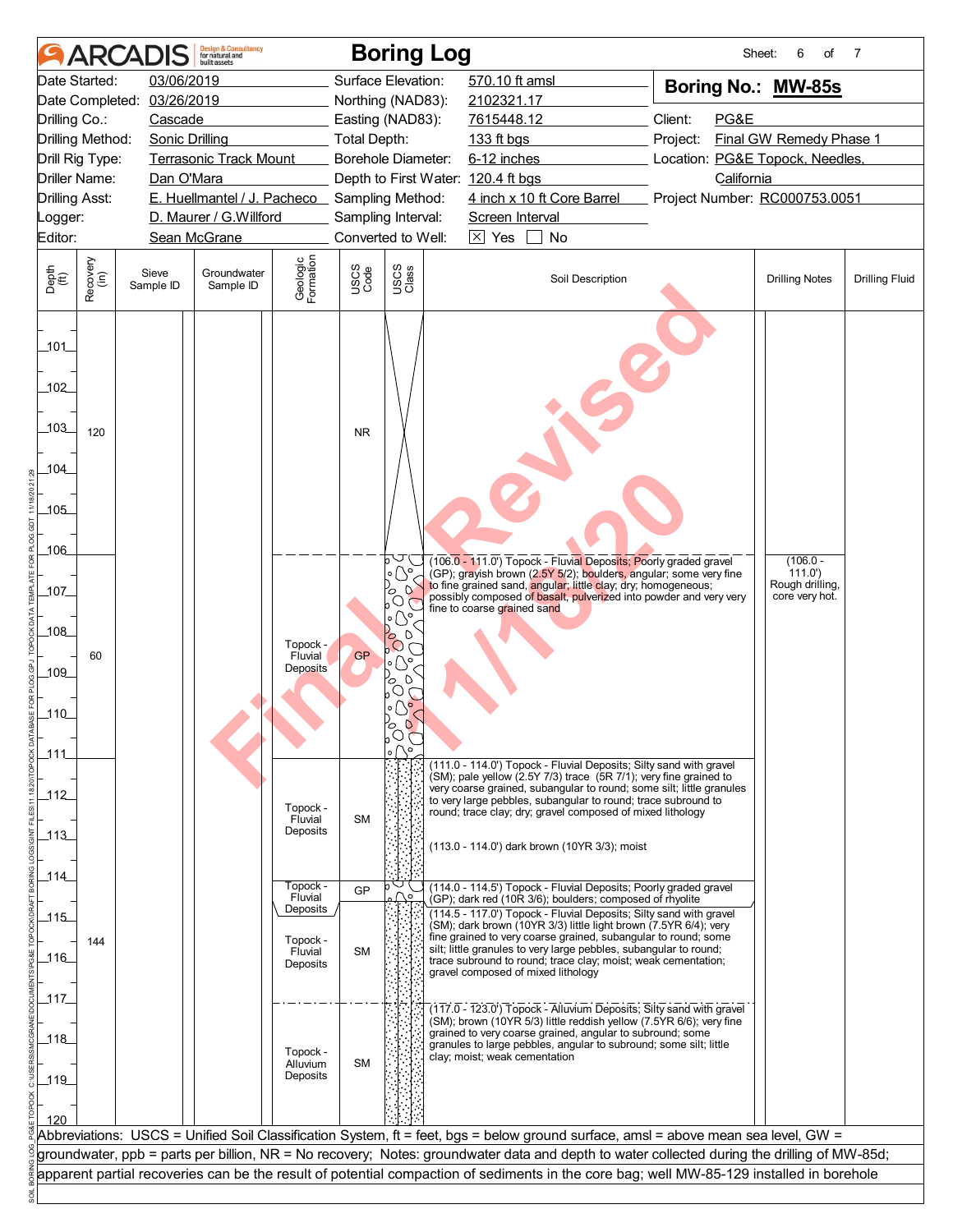|                                         |                  |                            | <b>Design &amp; Consultancy</b><br>for natural and<br>built assets |                                        |                     | <b>Boring Log</b>                                                                                                       |                                    |                                                                                                                                                                                                                                                                                                                           | Sheet:                                                                                                                                      | 6<br>of                                                   | 7                     |  |
|-----------------------------------------|------------------|----------------------------|--------------------------------------------------------------------|----------------------------------------|---------------------|-------------------------------------------------------------------------------------------------------------------------|------------------------------------|---------------------------------------------------------------------------------------------------------------------------------------------------------------------------------------------------------------------------------------------------------------------------------------------------------------------------|---------------------------------------------------------------------------------------------------------------------------------------------|-----------------------------------------------------------|-----------------------|--|
|                                         | Date Started:    | 03/06/2019                 |                                                                    |                                        |                     | Surface Elevation:                                                                                                      | 570.10 ft amsl                     |                                                                                                                                                                                                                                                                                                                           | Boring No.: MW-85s                                                                                                                          |                                                           |                       |  |
|                                         |                  | Date Completed: 03/26/2019 |                                                                    |                                        |                     | Northing (NAD83):                                                                                                       | 2102321.17                         |                                                                                                                                                                                                                                                                                                                           |                                                                                                                                             |                                                           |                       |  |
| Drilling Co.:                           |                  | Cascade                    |                                                                    |                                        |                     | Easting (NAD83):                                                                                                        | 7615448.12                         |                                                                                                                                                                                                                                                                                                                           | Client:<br>PG&E                                                                                                                             |                                                           |                       |  |
| Drilling Method:                        |                  | <b>Sonic Drilling</b>      |                                                                    |                                        | <b>Total Depth:</b> |                                                                                                                         | 133 ft bgs                         |                                                                                                                                                                                                                                                                                                                           | Project:                                                                                                                                    | Final GW Remedy Phase 1                                   |                       |  |
| Drill Rig Type:                         |                  |                            | <b>Terrasonic Track Mount</b>                                      |                                        |                     | <b>Borehole Diameter:</b>                                                                                               | 6-12 inches                        |                                                                                                                                                                                                                                                                                                                           | Location: PG&E Topock, Needles,                                                                                                             |                                                           |                       |  |
| Driller Name:                           |                  | Dan O'Mara                 |                                                                    |                                        |                     | Depth to First Water: 120.4 ft bgs                                                                                      |                                    |                                                                                                                                                                                                                                                                                                                           |                                                                                                                                             | California                                                |                       |  |
| <b>Drilling Asst:</b>                   |                  |                            | E. Huellmantel / J. Pacheco _ Sampling Method:                     |                                        |                     |                                                                                                                         |                                    | 4 inch x 10 ft Core Barrel                                                                                                                                                                                                                                                                                                | Project Number: RC000753.0051                                                                                                               |                                                           |                       |  |
| Logger:                                 |                  |                            | D. Maurer / G.Willford                                             |                                        |                     | Sampling Interval:                                                                                                      | Screen Interval                    |                                                                                                                                                                                                                                                                                                                           |                                                                                                                                             |                                                           |                       |  |
| Editor:                                 |                  |                            | Sean McGrane                                                       |                                        |                     | Converted to Well:                                                                                                      | $\boxtimes$ Yes                    | No                                                                                                                                                                                                                                                                                                                        |                                                                                                                                             |                                                           |                       |  |
| Depth<br>(ft)                           | Recovery<br>(in) | Sieve<br>Sample ID         | Groundwater<br>Sample ID                                           | Geologic<br>Formation                  | <b>USCS</b><br>Code | USCS<br>Class                                                                                                           |                                    | Soil Description                                                                                                                                                                                                                                                                                                          |                                                                                                                                             | <b>Drilling Notes</b>                                     | <b>Drilling Fluid</b> |  |
| $-101$<br>102<br>103_<br>104<br>$-105$  | 120              |                            |                                                                    |                                        | <b>NR</b>           |                                                                                                                         |                                    |                                                                                                                                                                                                                                                                                                                           |                                                                                                                                             |                                                           |                       |  |
| _106_<br>$-107$<br>_108_<br>109_<br>110 | 60               |                            |                                                                    | Topock -<br>Fluvial<br><b>Deposits</b> | <b>GP</b>           | $\circ$ $(\searrow)$<br>$\circ$<br>တိုင<br>$\circ$ $\circ$<br>Po O<br>$\circ$ $\circ$ $\circ$<br>$P_{\odot}$<br>$\circ$ | fine to coarse grained sand        | (106.0 - 111.0') Topock - Fluvial Deposits; Poorly graded gravel<br>(GP); grayish brown (2.5Y 5/2); boulders, angular; some very fine<br>to fine grained sand, angular; little clay; dry; homogeneous;<br>possibly composed of basalt, pulverized into powder and very very                                               |                                                                                                                                             | $(106.0 -$<br>111.0'<br>Rough drilling,<br>core very hot. |                       |  |
|                                         |                  |                            |                                                                    |                                        |                     | る<br>$\circ$<br>◡                                                                                                       |                                    |                                                                                                                                                                                                                                                                                                                           |                                                                                                                                             |                                                           |                       |  |
| _111_                                   |                  |                            |                                                                    |                                        |                     |                                                                                                                         |                                    | (111.0 - 114.0') Topock - Fluvial Deposits; Silty sand with gravel                                                                                                                                                                                                                                                        |                                                                                                                                             |                                                           |                       |  |
| $-112$<br>$\_113$                       |                  |                            |                                                                    | Topock -<br>Fluvial<br>Deposits        | <b>SM</b>           |                                                                                                                         |                                    | (SM); pale yellow (2.5Y 7/3) trace (5R 7/1); very fine grained to<br>very coarse grained, subangular to round; some silt; little granules<br>to very large pebbles, subangular to round; trace subround to<br>round; trace clay; dry; gravel composed of mixed lithology<br>(113.0 - 114.0') dark brown (10YR 3/3); moist |                                                                                                                                             |                                                           |                       |  |
| _114_                                   |                  |                            |                                                                    |                                        |                     |                                                                                                                         |                                    |                                                                                                                                                                                                                                                                                                                           |                                                                                                                                             |                                                           |                       |  |
|                                         |                  |                            |                                                                    | Topock -<br>Fluvial                    | GP                  |                                                                                                                         |                                    | (114.0 - 114.5') Topock - Fluvial Deposits; Poorly graded gravel<br>(GP); dark red (10R 3/6); boulders; composed of rhyolite                                                                                                                                                                                              |                                                                                                                                             |                                                           |                       |  |
| $-115$                                  |                  |                            |                                                                    | Deposits                               |                     |                                                                                                                         |                                    | (114.5 - 117.0') Topock - Fluvial Deposits; Silty sand with gravel                                                                                                                                                                                                                                                        |                                                                                                                                             |                                                           |                       |  |
|                                         | 144              |                            |                                                                    | Topock -                               |                     |                                                                                                                         |                                    | (SM); dark brown (10YR 3/3) little light brown (7.5YR 6/4); very<br>fine grained to very coarse grained, subangular to round; some                                                                                                                                                                                        |                                                                                                                                             |                                                           |                       |  |
| _116_                                   |                  |                            |                                                                    | Fluvial<br>Deposits                    | <b>SM</b>           |                                                                                                                         |                                    | silt; little granules to very large pebbles, subangular to round;<br>trace subround to round; trace clay; moist; weak cementation;                                                                                                                                                                                        |                                                                                                                                             |                                                           |                       |  |
|                                         |                  |                            |                                                                    |                                        |                     |                                                                                                                         | gravel composed of mixed lithology |                                                                                                                                                                                                                                                                                                                           |                                                                                                                                             |                                                           |                       |  |
| _117_                                   |                  |                            |                                                                    |                                        |                     |                                                                                                                         |                                    |                                                                                                                                                                                                                                                                                                                           |                                                                                                                                             |                                                           |                       |  |
| _118_<br>$-119$<br>120                  |                  |                            |                                                                    | Topock -<br>Alluvium<br>Deposits       | <b>SM</b>           |                                                                                                                         | clay; moist; weak cementation      | (117.0 - 123.0') Topock - Alluvium Deposits; Silty sand with gravel<br>(SM); brown (10YR 5/3) little reddish yellow (7.5YR 6/6); very fine<br>grained to very coarse grained, angular to subround; some<br>granules to large pebbles, angular to subround; some silt; little                                              |                                                                                                                                             |                                                           |                       |  |
|                                         |                  |                            |                                                                    |                                        |                     |                                                                                                                         |                                    |                                                                                                                                                                                                                                                                                                                           | Abbreviations: USCS = Unified Soil Classification System, ft = feet, bgs = below ground surface, amsl = above mean sea level, GW =          |                                                           |                       |  |
|                                         |                  |                            |                                                                    |                                        |                     |                                                                                                                         |                                    |                                                                                                                                                                                                                                                                                                                           | groundwater, ppb = parts per billion, NR = No recovery; Notes: groundwater data and depth to water collected during the drilling of MW-85d; |                                                           |                       |  |
|                                         |                  |                            |                                                                    |                                        |                     |                                                                                                                         |                                    |                                                                                                                                                                                                                                                                                                                           | apparent partial recoveries can be the result of potential compaction of sediments in the core bag; well MW-85-129 installed in borehole    |                                                           |                       |  |
|                                         |                  |                            |                                                                    |                                        |                     |                                                                                                                         |                                    |                                                                                                                                                                                                                                                                                                                           |                                                                                                                                             |                                                           |                       |  |